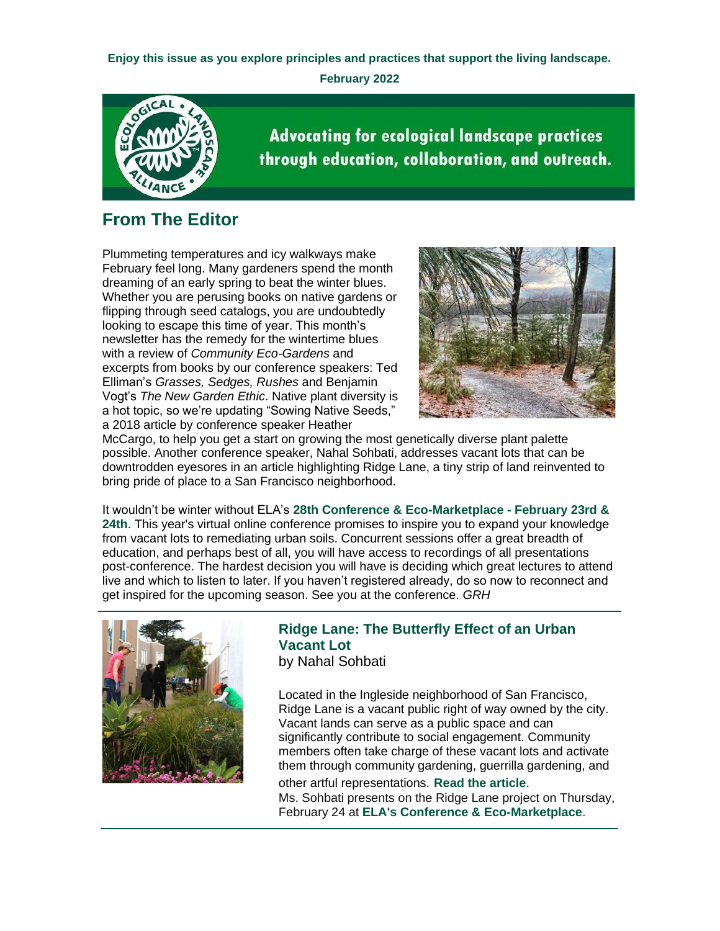**Enjoy this issue as you explore principles and practices that support the living landscape. February 2022**



**Advocating for ecological landscape practices** through education, collaboration, and outreach.

## **From The Editor**

Plummeting temperatures and icy walkways make February feel long. Many gardeners spend the month dreaming of an early spring to beat the winter blues. Whether you are perusing books on native gardens or flipping through seed catalogs, you are undoubtedly looking to escape this time of year. This month's newsletter has the remedy for the wintertime blues with a review of *Community Eco-Gardens* and excerpts from books by our conference speakers: Ted Elliman's *Grasses, Sedges, Rushes* and Benjamin Vogt's *The New Garden Ethic*. Native plant diversity is a hot topic, so we're updating "Sowing Native Seeds," a 2018 article by conference speaker Heather



McCargo, to help you get a start on growing the most genetically diverse plant palette possible. Another conference speaker, Nahal Sohbati, addresses vacant lots that can be downtrodden eyesores in an article highlighting Ridge Lane, a tiny strip of land reinvented to bring pride of place to a San Francisco neighborhood.

It wouldn't be winter without ELA's **[28th Conference & Eco-Marketplace -](https://r20.rs6.net/tn.jsp?f=0018rZkbgqW5TUvayNluqdWO9e-QXgcaex6Ie3siAHlb9j74Oey3eByu0O1nZGxDAl64TPa8EG5jGjVvTAl7WjRjYVlYixBIz4_-1zNNlbI8PwR3BbO89XbvQG6-AiJqALd_Z_V80LCr2AUcyPNdqb6E61HXo9cYwF97Wo2UrYr09ebudh1XkQycNhZDBFGPYTpFmHeGmyWxXEk34qRf-SMfg==&c=S9sKsTGS6vDjggBL2TOe1jsqFMtZjnNALS53nMWTW9-54jbJNGQgXw==&ch=xX1nnLOwonKBGYjkKM1M2ozIAu3-f_VAygDp6BZPC0QGB8YoZezeig==) February 23rd & [24th](https://r20.rs6.net/tn.jsp?f=0018rZkbgqW5TUvayNluqdWO9e-QXgcaex6Ie3siAHlb9j74Oey3eByu0O1nZGxDAl64TPa8EG5jGjVvTAl7WjRjYVlYixBIz4_-1zNNlbI8PwR3BbO89XbvQG6-AiJqALd_Z_V80LCr2AUcyPNdqb6E61HXo9cYwF97Wo2UrYr09ebudh1XkQycNhZDBFGPYTpFmHeGmyWxXEk34qRf-SMfg==&c=S9sKsTGS6vDjggBL2TOe1jsqFMtZjnNALS53nMWTW9-54jbJNGQgXw==&ch=xX1nnLOwonKBGYjkKM1M2ozIAu3-f_VAygDp6BZPC0QGB8YoZezeig==)**. This year's virtual online conference promises to inspire you to expand your knowledge from vacant lots to remediating urban soils. Concurrent sessions offer a great breadth of education, and perhaps best of all, you will have access to recordings of all presentations post-conference. The hardest decision you will have is deciding which great lectures to attend live and which to listen to later. If you haven't registered already, do so now to reconnect and get inspired for the upcoming season. See you at the conference. *GRH*



## **Ridge Lane: The Butterfly Effect of an Urban Vacant Lot**

by Nahal Sohbati

Located in the Ingleside neighborhood of San Francisco, Ridge Lane is a vacant public right of way owned by the city. Vacant lands can serve as a public space and can significantly contribute to social engagement. Community members often take charge of these vacant lots and activate them through community gardening, guerrilla gardening, and

other artful representations. **[Read the article](https://r20.rs6.net/tn.jsp?f=0018rZkbgqW5TUvayNluqdWO9e-QXgcaex6Ie3siAHlb9j74Oey3eByu-Do5Dk9I2Je4rbwcJpYLAvCZSuOGqsMV0DQhqZSPyohET9OO5e1vtCPOKdgRBQ0umpsBHZnou6-NErwxuyyiww9MaJVMKbXtWXmZwvdWXN77zgMtlfZ0CoQDsVogXG3lizDHZ5Cwnb82pCeRLhkhCP26gRCkiRHjkfbjDUHdVh87O77nqCIgBiW5xP720Ele_3FVXnSKGkeEbzluHLaR6EifgYU-pjlUcURZe1LoNZvDJDiEJwFhw0KoQlDNSrc1g==&c=S9sKsTGS6vDjggBL2TOe1jsqFMtZjnNALS53nMWTW9-54jbJNGQgXw==&ch=xX1nnLOwonKBGYjkKM1M2ozIAu3-f_VAygDp6BZPC0QGB8YoZezeig==)**. Ms. Sohbati presents on the Ridge Lane project on Thursday, February 24 at **[ELA's Conference & Eco-Marketplace](https://r20.rs6.net/tn.jsp?f=0018rZkbgqW5TUvayNluqdWO9e-QXgcaex6Ie3siAHlb9j74Oey3eByuyl1GTDCW45rHjF6Egh8t0myN68CnpSpoz8myw-5A-yx6i30Eas1C6s0sZrAiaMQN3SIttSj8jvBefbbGvAjiX9HWnxEWz7XQyzAz2CIN87TvOjox4rTgHjexGGoUtxhNheaXjSjSAv3HA5v_x1SNOgvYIGFJU8Ax5p4W5iDBM0s2Ibsy-DYsmE=&c=S9sKsTGS6vDjggBL2TOe1jsqFMtZjnNALS53nMWTW9-54jbJNGQgXw==&ch=xX1nnLOwonKBGYjkKM1M2ozIAu3-f_VAygDp6BZPC0QGB8YoZezeig==)**.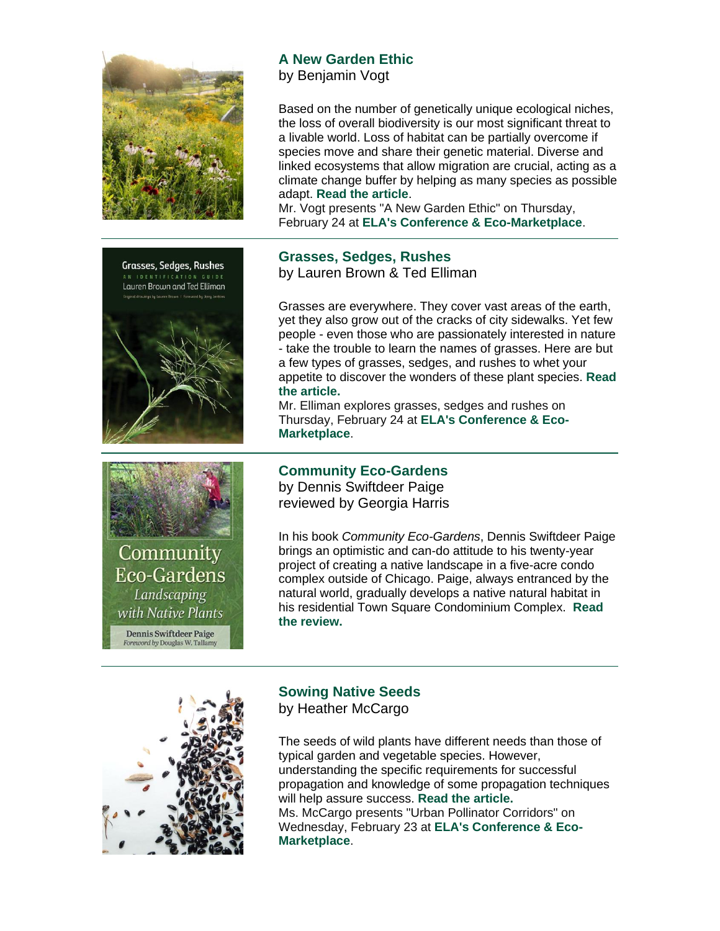



by Benjamin Vogt

Based on the number of genetically unique ecological niches, the loss of overall biodiversity is our most significant threat to a livable world. Loss of habitat can be partially overcome if species move and share their genetic material. Diverse and linked ecosystems that allow migration are crucial, acting as a climate change buffer by helping as many species as possible adapt. **[Read the article](https://r20.rs6.net/tn.jsp?f=0018rZkbgqW5TUvayNluqdWO9e-QXgcaex6Ie3siAHlb9j74Oey3eByu-Do5Dk9I2JesD6V0LRDBUq63Hyfd-wtzZXAZn86iRIom0Hq7-N1HI-o30IlhVl7LApV8x-qNRK_ome_0lFf9_jiYD9u0NNU8c7Oe9bjZjIWNFUl3M_0Qzq3LUxTg6wU_iNOMAHxWfQXU-VIkxThajtOtPyKfmT323r3s7BtfXv7&c=S9sKsTGS6vDjggBL2TOe1jsqFMtZjnNALS53nMWTW9-54jbJNGQgXw==&ch=xX1nnLOwonKBGYjkKM1M2ozIAu3-f_VAygDp6BZPC0QGB8YoZezeig==)**.

Mr. Vogt presents "A New Garden Ethic" on Thursday, February 24 at **[ELA's Conference & Eco-Marketplace](https://r20.rs6.net/tn.jsp?f=0018rZkbgqW5TUvayNluqdWO9e-QXgcaex6Ie3siAHlb9j74Oey3eByuyl1GTDCW45rHjF6Egh8t0myN68CnpSpoz8myw-5A-yx6i30Eas1C6s0sZrAiaMQN3SIttSj8jvBefbbGvAjiX9HWnxEWz7XQyzAz2CIN87TvOjox4rTgHjexGGoUtxhNheaXjSjSAv3HA5v_x1SNOgvYIGFJU8Ax5p4W5iDBM0s2Ibsy-DYsmE=&c=S9sKsTGS6vDjggBL2TOe1jsqFMtZjnNALS53nMWTW9-54jbJNGQgXw==&ch=xX1nnLOwonKBGYjkKM1M2ozIAu3-f_VAygDp6BZPC0QGB8YoZezeig==)**.





Community **Eco-Gardens** Landscaping with Native Plants

**Dennis Swiftdeer Paige** Foreword by Douglas W. Tallamy

#### **Grasses, Sedges, Rushes** by Lauren Brown & Ted Elliman

Grasses are everywhere. They cover vast areas of the earth, yet they also grow out of the cracks of city sidewalks. Yet few people - even those who are passionately interested in nature - take the trouble to learn the names of grasses. Here are but a few types of grasses, sedges, and rushes to whet your appetite to discover the wonders of these plant species. **[Read](https://r20.rs6.net/tn.jsp?f=0018rZkbgqW5TUvayNluqdWO9e-QXgcaex6Ie3siAHlb9j74Oey3eByu-Do5Dk9I2Je5KfopSWXfjBQWNXzbey9tOPjz9U9sAq686XD8QkHZ9MTCXGQ-6VLoou4bHY1fMAtFUcWHQy6Z-kYKjrScZUSYSFWRMQ6yzhjMnLFN9hSRVagaj5eqBLxFuePZC_N4eN_wcNVSpxqucTFhTeDHJo_3sMVwWAx--3eMtHseQXDs1k=&c=S9sKsTGS6vDjggBL2TOe1jsqFMtZjnNALS53nMWTW9-54jbJNGQgXw==&ch=xX1nnLOwonKBGYjkKM1M2ozIAu3-f_VAygDp6BZPC0QGB8YoZezeig==)  [the article.](https://r20.rs6.net/tn.jsp?f=0018rZkbgqW5TUvayNluqdWO9e-QXgcaex6Ie3siAHlb9j74Oey3eByu-Do5Dk9I2Je5KfopSWXfjBQWNXzbey9tOPjz9U9sAq686XD8QkHZ9MTCXGQ-6VLoou4bHY1fMAtFUcWHQy6Z-kYKjrScZUSYSFWRMQ6yzhjMnLFN9hSRVagaj5eqBLxFuePZC_N4eN_wcNVSpxqucTFhTeDHJo_3sMVwWAx--3eMtHseQXDs1k=&c=S9sKsTGS6vDjggBL2TOe1jsqFMtZjnNALS53nMWTW9-54jbJNGQgXw==&ch=xX1nnLOwonKBGYjkKM1M2ozIAu3-f_VAygDp6BZPC0QGB8YoZezeig==)**

Mr. Elliman explores grasses, sedges and rushes on Thursday, February 24 at **[ELA's Conference & Eco-](https://r20.rs6.net/tn.jsp?f=0018rZkbgqW5TUvayNluqdWO9e-QXgcaex6Ie3siAHlb9j74Oey3eByuyl1GTDCW45rHjF6Egh8t0myN68CnpSpoz8myw-5A-yx6i30Eas1C6s0sZrAiaMQN3SIttSj8jvBefbbGvAjiX9HWnxEWz7XQyzAz2CIN87TvOjox4rTgHjexGGoUtxhNheaXjSjSAv3HA5v_x1SNOgvYIGFJU8Ax5p4W5iDBM0s2Ibsy-DYsmE=&c=S9sKsTGS6vDjggBL2TOe1jsqFMtZjnNALS53nMWTW9-54jbJNGQgXw==&ch=xX1nnLOwonKBGYjkKM1M2ozIAu3-f_VAygDp6BZPC0QGB8YoZezeig==)[Marketplace](https://r20.rs6.net/tn.jsp?f=0018rZkbgqW5TUvayNluqdWO9e-QXgcaex6Ie3siAHlb9j74Oey3eByuyl1GTDCW45rHjF6Egh8t0myN68CnpSpoz8myw-5A-yx6i30Eas1C6s0sZrAiaMQN3SIttSj8jvBefbbGvAjiX9HWnxEWz7XQyzAz2CIN87TvOjox4rTgHjexGGoUtxhNheaXjSjSAv3HA5v_x1SNOgvYIGFJU8Ax5p4W5iDBM0s2Ibsy-DYsmE=&c=S9sKsTGS6vDjggBL2TOe1jsqFMtZjnNALS53nMWTW9-54jbJNGQgXw==&ch=xX1nnLOwonKBGYjkKM1M2ozIAu3-f_VAygDp6BZPC0QGB8YoZezeig==)**.

### **Community Eco-Gardens**

by Dennis Swiftdeer Paige reviewed by Georgia Harris

In his book *Community Eco-Gardens*, Dennis Swiftdeer Paige brings an optimistic and can-do attitude to his twenty-year project of creating a native landscape in a five-acre condo complex outside of Chicago. Paige, always entranced by the natural world, gradually develops a native natural habitat in his residential Town Square Condominium Complex. **[Read](https://r20.rs6.net/tn.jsp?f=0018rZkbgqW5TUvayNluqdWO9e-QXgcaex6Ie3siAHlb9j74Oey3eByu-Do5Dk9I2JemQ4ZExbq3ZubeP0WPMprmqF9U8F8Ggmd8Ki7FQp-XXowhV6k-KNDCHWyZ5rspfYRQ1NQxm9D4VtZ1L0O0jyqEq5gzKqvidYlVaNiFCvtKeQR0ZhxwvwV8-wJopL8ftOl4SSQLd-f6XpQrl7ThtMkBEdNHeMuD2DGFo2KpCvOQzY=&c=S9sKsTGS6vDjggBL2TOe1jsqFMtZjnNALS53nMWTW9-54jbJNGQgXw==&ch=xX1nnLOwonKBGYjkKM1M2ozIAu3-f_VAygDp6BZPC0QGB8YoZezeig==)  [the review.](https://r20.rs6.net/tn.jsp?f=0018rZkbgqW5TUvayNluqdWO9e-QXgcaex6Ie3siAHlb9j74Oey3eByu-Do5Dk9I2JemQ4ZExbq3ZubeP0WPMprmqF9U8F8Ggmd8Ki7FQp-XXowhV6k-KNDCHWyZ5rspfYRQ1NQxm9D4VtZ1L0O0jyqEq5gzKqvidYlVaNiFCvtKeQR0ZhxwvwV8-wJopL8ftOl4SSQLd-f6XpQrl7ThtMkBEdNHeMuD2DGFo2KpCvOQzY=&c=S9sKsTGS6vDjggBL2TOe1jsqFMtZjnNALS53nMWTW9-54jbJNGQgXw==&ch=xX1nnLOwonKBGYjkKM1M2ozIAu3-f_VAygDp6BZPC0QGB8YoZezeig==)**



## **Sowing Native Seeds**

by Heather McCargo

The seeds of wild plants have different needs than those of typical garden and vegetable species. However, understanding the specific requirements for successful propagation and knowledge of some propagation techniques will help assure success. **[Read the article.](https://r20.rs6.net/tn.jsp?f=0018rZkbgqW5TUvayNluqdWO9e-QXgcaex6Ie3siAHlb9j74Oey3eByu-Do5Dk9I2JeeaJBz0flADhdoTKW37z75SdaRr1VmT9-hmW_DLQWn_5TZY2MKZKVbsC2YBNlMKMmXug87wSpBkcPYuupYcY4mMW9lC-rt-SwQFR3lcr7fX3aSeT_D8x3gbPI9OhxtZ9RaIAY2n_0EhKJ3phYPUK8PoBB6IAM24m8w2273g2nDOOEic-NKajQzFeOA_g4ykb7&c=S9sKsTGS6vDjggBL2TOe1jsqFMtZjnNALS53nMWTW9-54jbJNGQgXw==&ch=xX1nnLOwonKBGYjkKM1M2ozIAu3-f_VAygDp6BZPC0QGB8YoZezeig==)** Ms. McCargo presents "Urban Pollinator Corridors" on Wednesday, February 23 at **[ELA's Conference & Eco-](https://r20.rs6.net/tn.jsp?f=0018rZkbgqW5TUvayNluqdWO9e-QXgcaex6Ie3siAHlb9j74Oey3eByuyl1GTDCW45rHjF6Egh8t0myN68CnpSpoz8myw-5A-yx6i30Eas1C6s0sZrAiaMQN3SIttSj8jvBefbbGvAjiX9HWnxEWz7XQyzAz2CIN87TvOjox4rTgHjexGGoUtxhNheaXjSjSAv3HA5v_x1SNOgvYIGFJU8Ax5p4W5iDBM0s2Ibsy-DYsmE=&c=S9sKsTGS6vDjggBL2TOe1jsqFMtZjnNALS53nMWTW9-54jbJNGQgXw==&ch=xX1nnLOwonKBGYjkKM1M2ozIAu3-f_VAygDp6BZPC0QGB8YoZezeig==)[Marketplace](https://r20.rs6.net/tn.jsp?f=0018rZkbgqW5TUvayNluqdWO9e-QXgcaex6Ie3siAHlb9j74Oey3eByuyl1GTDCW45rHjF6Egh8t0myN68CnpSpoz8myw-5A-yx6i30Eas1C6s0sZrAiaMQN3SIttSj8jvBefbbGvAjiX9HWnxEWz7XQyzAz2CIN87TvOjox4rTgHjexGGoUtxhNheaXjSjSAv3HA5v_x1SNOgvYIGFJU8Ax5p4W5iDBM0s2Ibsy-DYsmE=&c=S9sKsTGS6vDjggBL2TOe1jsqFMtZjnNALS53nMWTW9-54jbJNGQgXw==&ch=xX1nnLOwonKBGYjkKM1M2ozIAu3-f_VAygDp6BZPC0QGB8YoZezeig==)**.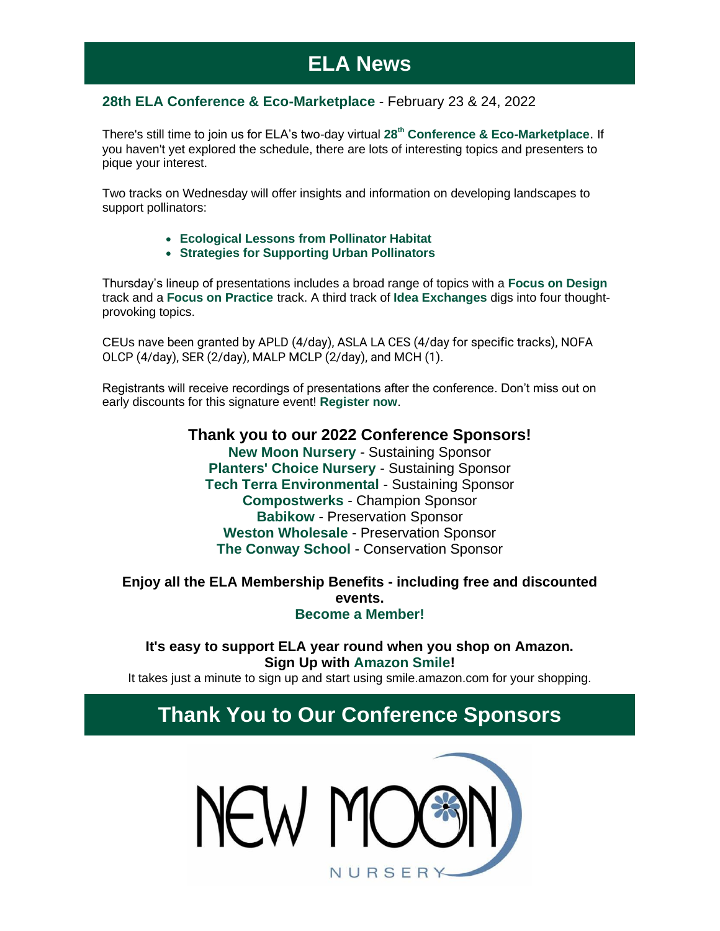# **ELA News**

### **[28th ELA Conference & Eco-Marketplace](https://r20.rs6.net/tn.jsp?f=0018rZkbgqW5TUvayNluqdWO9e-QXgcaex6Ie3siAHlb9j74Oey3eByu0O1nZGxDAl64TPa8EG5jGjVvTAl7WjRjYVlYixBIz4_-1zNNlbI8PwR3BbO89XbvQG6-AiJqALd_Z_V80LCr2AUcyPNdqb6E61HXo9cYwF97Wo2UrYr09ebudh1XkQycNhZDBFGPYTpFmHeGmyWxXEk34qRf-SMfg==&c=S9sKsTGS6vDjggBL2TOe1jsqFMtZjnNALS53nMWTW9-54jbJNGQgXw==&ch=xX1nnLOwonKBGYjkKM1M2ozIAu3-f_VAygDp6BZPC0QGB8YoZezeig==)** - February 23 & 24, 2022

There's still time to join us for ELA's two-day virtual **[28](https://r20.rs6.net/tn.jsp?f=0018rZkbgqW5TUvayNluqdWO9e-QXgcaex6Ie3siAHlb9j74Oey3eByuyl1GTDCW45rHjF6Egh8t0myN68CnpSpoz8myw-5A-yx6i30Eas1C6s0sZrAiaMQN3SIttSj8jvBefbbGvAjiX9HWnxEWz7XQyzAz2CIN87TvOjox4rTgHjexGGoUtxhNheaXjSjSAv3HA5v_x1SNOgvYIGFJU8Ax5p4W5iDBM0s2Ibsy-DYsmE=&c=S9sKsTGS6vDjggBL2TOe1jsqFMtZjnNALS53nMWTW9-54jbJNGQgXw==&ch=xX1nnLOwonKBGYjkKM1M2ozIAu3-f_VAygDp6BZPC0QGB8YoZezeig==)[th](https://r20.rs6.net/tn.jsp?f=0018rZkbgqW5TUvayNluqdWO9e-QXgcaex6Ie3siAHlb9j74Oey3eByuyl1GTDCW45rHjF6Egh8t0myN68CnpSpoz8myw-5A-yx6i30Eas1C6s0sZrAiaMQN3SIttSj8jvBefbbGvAjiX9HWnxEWz7XQyzAz2CIN87TvOjox4rTgHjexGGoUtxhNheaXjSjSAv3HA5v_x1SNOgvYIGFJU8Ax5p4W5iDBM0s2Ibsy-DYsmE=&c=S9sKsTGS6vDjggBL2TOe1jsqFMtZjnNALS53nMWTW9-54jbJNGQgXw==&ch=xX1nnLOwonKBGYjkKM1M2ozIAu3-f_VAygDp6BZPC0QGB8YoZezeig==) [Conference & Eco-Marketplace](https://r20.rs6.net/tn.jsp?f=0018rZkbgqW5TUvayNluqdWO9e-QXgcaex6Ie3siAHlb9j74Oey3eByuyl1GTDCW45rHjF6Egh8t0myN68CnpSpoz8myw-5A-yx6i30Eas1C6s0sZrAiaMQN3SIttSj8jvBefbbGvAjiX9HWnxEWz7XQyzAz2CIN87TvOjox4rTgHjexGGoUtxhNheaXjSjSAv3HA5v_x1SNOgvYIGFJU8Ax5p4W5iDBM0s2Ibsy-DYsmE=&c=S9sKsTGS6vDjggBL2TOe1jsqFMtZjnNALS53nMWTW9-54jbJNGQgXw==&ch=xX1nnLOwonKBGYjkKM1M2ozIAu3-f_VAygDp6BZPC0QGB8YoZezeig==)**. If you haven't yet explored the schedule, there are lots of interesting topics and presenters to pique your interest.

Two tracks on Wednesday will offer insights and information on developing landscapes to support pollinators:

- **[Ecological Lessons from Pollinator Habitat](https://r20.rs6.net/tn.jsp?f=0018rZkbgqW5TUvayNluqdWO9e-QXgcaex6Ie3siAHlb9j74Oey3eByuypn4S6t-hwhNX07bnFipQ5b8hhSxO5CEtdiMciBym5vV1AEdCvM-Cgaw8Zt33OgXkFpGa4ylJIlItn5yMDqB8z2wArwTZ6uT_SXRt-gcnWpEgm7MR2vtBMX1UTdaBZVksHRm9c-S6Kz1ew2P4-qzk_-sFtT7b7UsAGk_tmbjSuN&c=S9sKsTGS6vDjggBL2TOe1jsqFMtZjnNALS53nMWTW9-54jbJNGQgXw==&ch=xX1nnLOwonKBGYjkKM1M2ozIAu3-f_VAygDp6BZPC0QGB8YoZezeig==)**
- **Strategies [for Supporting Urban Pollinators](https://r20.rs6.net/tn.jsp?f=0018rZkbgqW5TUvayNluqdWO9e-QXgcaex6Ie3siAHlb9j74Oey3eByuypn4S6t-hwhoQcUX_jDpaFTzdLMhe8bBeVlo73IC9GlkbPBKr9CA1ZcdlOCM-atGNF3NyaSVD_sPPEBxjbdSDDgSwvRTyc736krp3OAnAp1veKFQ9VlIp8CY3sCuLCmNKypDaDYK0_DxnDvnxcTpgXA_0t3920fmvDFaROnD0zZitGI98ioZQS8I3dSfcj69aXKefVoPalU0Ok7eY06iL8=&c=S9sKsTGS6vDjggBL2TOe1jsqFMtZjnNALS53nMWTW9-54jbJNGQgXw==&ch=xX1nnLOwonKBGYjkKM1M2ozIAu3-f_VAygDp6BZPC0QGB8YoZezeig==)**

Thursday's lineup of presentations includes a broad range of topics with a **[Focus on Design](https://r20.rs6.net/tn.jsp?f=0018rZkbgqW5TUvayNluqdWO9e-QXgcaex6Ie3siAHlb9j74Oey3eByuypn4S6t-hwhmyUJ84LrWmeF_GBoTPXjNWEZiWIq6MmsHDzytCPAN3dd1M-iaCUzdI_ld_6mxMkFgUKwaOQmETIvOMD4bvniG15UUh-hraEUld97NtpMiAQgraLwlLphurFobqGd8QrID6Ozm_byhxedWafbClSR5Q==&c=S9sKsTGS6vDjggBL2TOe1jsqFMtZjnNALS53nMWTW9-54jbJNGQgXw==&ch=xX1nnLOwonKBGYjkKM1M2ozIAu3-f_VAygDp6BZPC0QGB8YoZezeig==)** track and a **[Focus on Practice](https://r20.rs6.net/tn.jsp?f=0018rZkbgqW5TUvayNluqdWO9e-QXgcaex6Ie3siAHlb9j74Oey3eByuypn4S6t-hwhBPsOesBo9SRaAVTmjzff6vZznW6vZks63l2cXAnYe_mr-VXdhfol0OARQTelEW5kCNIGstjvAfQTHNRY1SKFFdWzXgYEn4AGS55niZ3wRqDlp0VXx-_ElrW3545PdKszdnRQjjPKFhLsflGc7FovClP5fSNNDwjDlxXU3JoAx8k=&c=S9sKsTGS6vDjggBL2TOe1jsqFMtZjnNALS53nMWTW9-54jbJNGQgXw==&ch=xX1nnLOwonKBGYjkKM1M2ozIAu3-f_VAygDp6BZPC0QGB8YoZezeig==)** track. A third track of **[Idea Exchanges](https://r20.rs6.net/tn.jsp?f=0018rZkbgqW5TUvayNluqdWO9e-QXgcaex6Ie3siAHlb9j74Oey3eByuypn4S6t-hwh1oSdrp9Xs6d8veEcBCsUY7ERCEKhq5RYPuf_qZFoL1MfHauOZnVSPeHiM5WBiHB6MXmImi3Ylc9EWXW43wBhwt5W98BzqpuS8M0bhD6iBQILww_wD9-PXs5ciwBge81YSvVZKW9E5hJnYXYsHfP1XQ==&c=S9sKsTGS6vDjggBL2TOe1jsqFMtZjnNALS53nMWTW9-54jbJNGQgXw==&ch=xX1nnLOwonKBGYjkKM1M2ozIAu3-f_VAygDp6BZPC0QGB8YoZezeig==)** digs into four thoughtprovoking topics.

CEUs nave been granted by APLD (4/day), ASLA LA CES (4/day for specific tracks), NOFA OLCP (4/day), SER (2/day), MALP MCLP (2/day), and MCH (1).

Registrants will receive recordings of presentations after the conference. Don't miss out on early discounts for this signature event! **[Register now](https://r20.rs6.net/tn.jsp?f=0018rZkbgqW5TUvayNluqdWO9e-QXgcaex6Ie3siAHlb9j74Oey3eByu0O1nZGxDAl64TPa8EG5jGjVvTAl7WjRjYVlYixBIz4_-1zNNlbI8PwR3BbO89XbvQG6-AiJqALd_Z_V80LCr2AUcyPNdqb6E61HXo9cYwF97Wo2UrYr09ebudh1XkQycNhZDBFGPYTpFmHeGmyWxXEk34qRf-SMfg==&c=S9sKsTGS6vDjggBL2TOe1jsqFMtZjnNALS53nMWTW9-54jbJNGQgXw==&ch=xX1nnLOwonKBGYjkKM1M2ozIAu3-f_VAygDp6BZPC0QGB8YoZezeig==)**.

> **[Thank you to our 2022 Conference Sponsors!](https://r20.rs6.net/tn.jsp?f=0018rZkbgqW5TUvayNluqdWO9e-QXgcaex6Ie3siAHlb9j74Oey3eByu5y2jKYDBEUEC8VlhoEBvnbNkl64zLg4-XjIJwtSNLwI96vsQBGexP0OrODdLI8uGvmyI4TcGMMgtYISDGZpc-Y7UaZ4hqgwzeSsuMji5n-Eu4fwz6h26d5-9Y3kIxTOpfjTA9gm7ptHPkf8Iv9T4GA=&c=S9sKsTGS6vDjggBL2TOe1jsqFMtZjnNALS53nMWTW9-54jbJNGQgXw==&ch=xX1nnLOwonKBGYjkKM1M2ozIAu3-f_VAygDp6BZPC0QGB8YoZezeig==) [New Moon Nursery](https://r20.rs6.net/tn.jsp?f=0018rZkbgqW5TUvayNluqdWO9e-QXgcaex6Ie3siAHlb9j74Oey3eByu-uIZh9dGChIFLUOjX6lk33TNOpSknQhzQ3vNjFXq_pFP6zd20I0cDIiJ67mCIuCpYfTnJRK_2HHwFRAZQkOyH34sHrFB_hEXrl69NMRQj2Z&c=S9sKsTGS6vDjggBL2TOe1jsqFMtZjnNALS53nMWTW9-54jbJNGQgXw==&ch=xX1nnLOwonKBGYjkKM1M2ozIAu3-f_VAygDp6BZPC0QGB8YoZezeig==)** - Sustaining Sponsor **[Planters' Choice Nursery](https://r20.rs6.net/tn.jsp?f=0018rZkbgqW5TUvayNluqdWO9e-QXgcaex6Ie3siAHlb9j74Oey3eByu0w4jwheVt4vw7tA9_Jt5UXxwfj7f7-YLmJcWxSQ-VtCQf2fzvFrrvEbheaJnhUNP-tAUOidGvIVJcPzo0E3jla9lra5OoLYww==&c=S9sKsTGS6vDjggBL2TOe1jsqFMtZjnNALS53nMWTW9-54jbJNGQgXw==&ch=xX1nnLOwonKBGYjkKM1M2ozIAu3-f_VAygDp6BZPC0QGB8YoZezeig==)** - Sustaining Sponsor **[Tech Terra Environmental](https://r20.rs6.net/tn.jsp?f=0018rZkbgqW5TUvayNluqdWO9e-QXgcaex6Ie3siAHlb9j74Oey3eByu5CSD6CarOKEpYA7t_hQMsK6w3GjuCaV53w8CUG3Lrd3olRW5XYOGij5Sfk4Uym87_I8qJ5aCBVtOGLTuaKKvO81JJpKckyncUAkL_NlcGv3iMdiXle90jw=&c=S9sKsTGS6vDjggBL2TOe1jsqFMtZjnNALS53nMWTW9-54jbJNGQgXw==&ch=xX1nnLOwonKBGYjkKM1M2ozIAu3-f_VAygDp6BZPC0QGB8YoZezeig==)** - Sustaining Sponsor **[Compostwerks](https://r20.rs6.net/tn.jsp?f=0018rZkbgqW5TUvayNluqdWO9e-QXgcaex6Ie3siAHlb9j74Oey3eByu6FCLXEFo86fUCOKRTd-yS-ZAsa-75tkgk4wadtHJwhQzGv1dBbIOBOPdiLum7knhdE9ccmkj9y4Ml8WhRbPp7MNrlpugCP0yA==&c=S9sKsTGS6vDjggBL2TOe1jsqFMtZjnNALS53nMWTW9-54jbJNGQgXw==&ch=xX1nnLOwonKBGYjkKM1M2ozIAu3-f_VAygDp6BZPC0QGB8YoZezeig==)** - Champion Sponsor **[Babikow](https://r20.rs6.net/tn.jsp?f=0018rZkbgqW5TUvayNluqdWO9e-QXgcaex6Ie3siAHlb9j74Oey3eByuzKSryEERTM2ht9eCN3LBoc8m4m6O_D3X3ISIyPvBCVQ8H3z3ImH1a6tV8MYhPlJlwU9pw9xVAV_Gkh7jDqxDjJ1LLI8zVqkww==&c=S9sKsTGS6vDjggBL2TOe1jsqFMtZjnNALS53nMWTW9-54jbJNGQgXw==&ch=xX1nnLOwonKBGYjkKM1M2ozIAu3-f_VAygDp6BZPC0QGB8YoZezeig==)** - Preservation Sponsor **[Weston Wholesale](https://r20.rs6.net/tn.jsp?f=0018rZkbgqW5TUvayNluqdWO9e-QXgcaex6Ie3siAHlb9j74Oey3eByu-Do5Dk9I2JeFCQ2byK5rjzI8-NutXrAFFzeDYtJ72IPR8EPc8D_8bHfO0dHlYPie_jr0XEUWQWDLRTvLfXyFT9Qla9oFlXOrg==&c=S9sKsTGS6vDjggBL2TOe1jsqFMtZjnNALS53nMWTW9-54jbJNGQgXw==&ch=xX1nnLOwonKBGYjkKM1M2ozIAu3-f_VAygDp6BZPC0QGB8YoZezeig==)** - Preservation Sponsor **[The Conway School](https://r20.rs6.net/tn.jsp?f=0018rZkbgqW5TUvayNluqdWO9e-QXgcaex6Ie3siAHlb9j74Oey3eByu5dgTcoQnPj5Nt3sjX0v_WesvSArrts1WsmY5Y0CPTQqX44KvAzWo3O4UdkLg2L0IR0bKnU8GRxFqqnb4V_Cm3E=&c=S9sKsTGS6vDjggBL2TOe1jsqFMtZjnNALS53nMWTW9-54jbJNGQgXw==&ch=xX1nnLOwonKBGYjkKM1M2ozIAu3-f_VAygDp6BZPC0QGB8YoZezeig==)** - Conservation Sponsor

### **Enjoy all the ELA Membership Benefits - including free and discounted events. [Become a Member!](https://r20.rs6.net/tn.jsp?f=0018rZkbgqW5TUvayNluqdWO9e-QXgcaex6Ie3siAHlb9j74Oey3eByu7R2WjMcWDDZ8b_3Sjg92AoAllFqlRe9gsqYMTEOAcDyGuimVVuPyQGk2dwmzY_t85mXAgOqAmkfChLiN4P3a50B_DF0GcF_LbJzusQ3ZlbVW97XP7OggII=&c=S9sKsTGS6vDjggBL2TOe1jsqFMtZjnNALS53nMWTW9-54jbJNGQgXw==&ch=xX1nnLOwonKBGYjkKM1M2ozIAu3-f_VAygDp6BZPC0QGB8YoZezeig==)**

**It's easy to support ELA year round when you shop on Amazon. Sign Up with [Amazon Smile!](https://r20.rs6.net/tn.jsp?f=0018rZkbgqW5TUvayNluqdWO9e-QXgcaex6Ie3siAHlb9j74Oey3eByuyHWSmtCSt1w32X_All4suz7_RSuc96JrHK1l86RABXPigLmkeKC2Dw2FbihrM_1em5-vNAkZZ44yOFpAswtJ4_-0DZFFr0IXI0cQ_YjybKLC4GjoxC6bQk=&c=S9sKsTGS6vDjggBL2TOe1jsqFMtZjnNALS53nMWTW9-54jbJNGQgXw==&ch=xX1nnLOwonKBGYjkKM1M2ozIAu3-f_VAygDp6BZPC0QGB8YoZezeig==)**

It takes just a minute to sign up and start using smile.amazon.com for your shopping.

## **Thank You to Our Conference Sponsors**

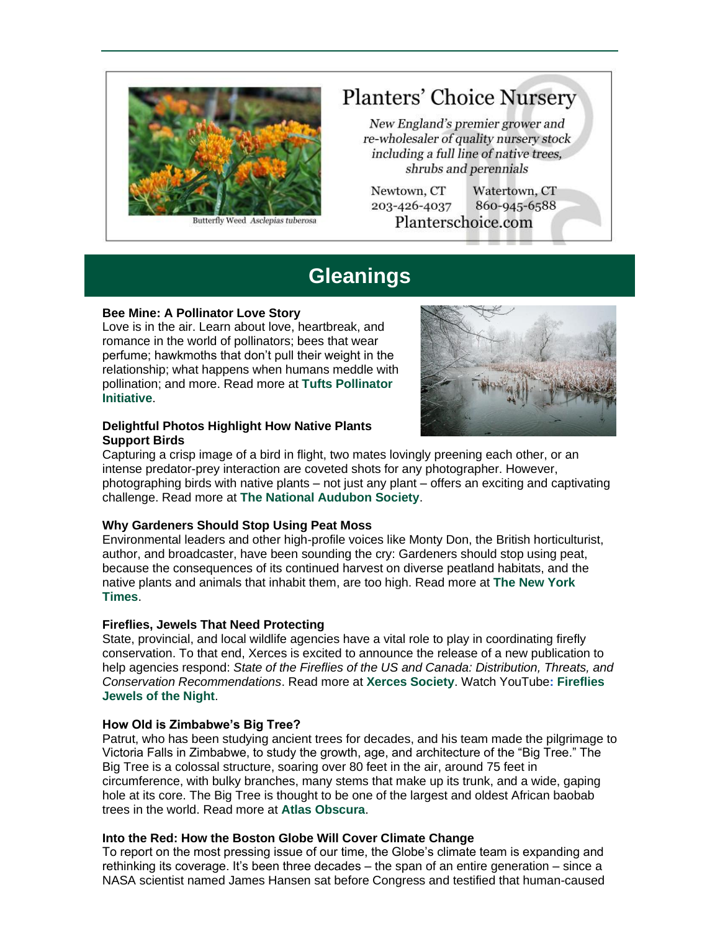

utterfly Weed Asclepias tuberosa

# **Planters' Choice Nursery**

New England's premier grower and re-wholesaler of quality nursery stock including a full line of native trees, shrubs and perennials

Newtown, CT 203-426-4037 Planterschoice.com

Watertown, CT 860-945-6588

# **Gleanings**

#### **Bee Mine: A Pollinator Love Story**

Love is in the air. Learn about love, heartbreak, and romance in the world of pollinators; bees that wear perfume; hawkmoths that don't pull their weight in the relationship; what happens when humans meddle with pollination; and more. Read more at **[Tufts Pollinator](https://r20.rs6.net/tn.jsp?f=0018rZkbgqW5TUvayNluqdWO9e-QXgcaex6Ie3siAHlb9j74Oey3eByu-Do5Dk9I2JeXeYHmjT7vizub0jReW_Un32N3Cjcor6y6PUVOMJV2j-_OMWSiYep8qK7cGhgPnFF0bgffNNm4ZYiCye8eG5GYe_CIQ7A0LzvYtv5F2J_grzsJkRVUZi1Gzf0NZGCBOBMnTj73lCGkowXxKEE445POgpheKb2nbKw&c=S9sKsTGS6vDjggBL2TOe1jsqFMtZjnNALS53nMWTW9-54jbJNGQgXw==&ch=xX1nnLOwonKBGYjkKM1M2ozIAu3-f_VAygDp6BZPC0QGB8YoZezeig==)  [Initiative](https://r20.rs6.net/tn.jsp?f=0018rZkbgqW5TUvayNluqdWO9e-QXgcaex6Ie3siAHlb9j74Oey3eByu-Do5Dk9I2JeXeYHmjT7vizub0jReW_Un32N3Cjcor6y6PUVOMJV2j-_OMWSiYep8qK7cGhgPnFF0bgffNNm4ZYiCye8eG5GYe_CIQ7A0LzvYtv5F2J_grzsJkRVUZi1Gzf0NZGCBOBMnTj73lCGkowXxKEE445POgpheKb2nbKw&c=S9sKsTGS6vDjggBL2TOe1jsqFMtZjnNALS53nMWTW9-54jbJNGQgXw==&ch=xX1nnLOwonKBGYjkKM1M2ozIAu3-f_VAygDp6BZPC0QGB8YoZezeig==)**.



#### **Delightful Photos Highlight How Native Plants Support Birds**

Capturing a crisp image of a bird in flight, two mates lovingly preening each other, or an intense predator-prey interaction are coveted shots for any photographer. However, photographing birds with native plants – not just any plant – offers an exciting and captivating challenge. Read more at **[The National Audubon Society](https://r20.rs6.net/tn.jsp?f=0018rZkbgqW5TUvayNluqdWO9e-QXgcaex6Ie3siAHlb9j74Oey3eByu-Do5Dk9I2JeBuuRx4D75EYG_OsaGmO4tX0BYxYKOoi7vlqI9vxgdDU0hLq18nwWKNLdpYSki2XynbrZWUlCMiqkcQ_EX34Lyi6AHcL2a6G34d4Q0v21c7x_n1r2pOW6hugo6pDixAhOMQQ8FgXeLt7H3Ic62qbpWDKVaRwyvl2yZFJ5-_CuAjdQb6tCiL93yg==&c=S9sKsTGS6vDjggBL2TOe1jsqFMtZjnNALS53nMWTW9-54jbJNGQgXw==&ch=xX1nnLOwonKBGYjkKM1M2ozIAu3-f_VAygDp6BZPC0QGB8YoZezeig==)**.

#### **Why Gardeners Should Stop Using Peat Moss**

Environmental leaders and other high-profile voices like Monty Don, the British horticulturist, author, and broadcaster, have been sounding the cry: Gardeners should stop using peat, because the consequences of its continued harvest on diverse peatland habitats, and the native plants and animals that inhabit them, are too high. Read more at **[The New York](https://r20.rs6.net/tn.jsp?f=0018rZkbgqW5TUvayNluqdWO9e-QXgcaex6Ie3siAHlb9j74Oey3eByu-Do5Dk9I2JeEJWlYITQFtd0qTkS9Fdpfet7ZF8Qe01uqcUtixrLONcmMJY9G7ttrm1Z238Mde6bu0AGjs2NNGNIhg2lHnzQmy5uqxxNOhLLH-I_LOcx2ee6gAMsm89PsbyT52KSSWEPph5QhhEp4GJ20-MpJq5_oQ==&c=S9sKsTGS6vDjggBL2TOe1jsqFMtZjnNALS53nMWTW9-54jbJNGQgXw==&ch=xX1nnLOwonKBGYjkKM1M2ozIAu3-f_VAygDp6BZPC0QGB8YoZezeig==)  [Times](https://r20.rs6.net/tn.jsp?f=0018rZkbgqW5TUvayNluqdWO9e-QXgcaex6Ie3siAHlb9j74Oey3eByu-Do5Dk9I2JeEJWlYITQFtd0qTkS9Fdpfet7ZF8Qe01uqcUtixrLONcmMJY9G7ttrm1Z238Mde6bu0AGjs2NNGNIhg2lHnzQmy5uqxxNOhLLH-I_LOcx2ee6gAMsm89PsbyT52KSSWEPph5QhhEp4GJ20-MpJq5_oQ==&c=S9sKsTGS6vDjggBL2TOe1jsqFMtZjnNALS53nMWTW9-54jbJNGQgXw==&ch=xX1nnLOwonKBGYjkKM1M2ozIAu3-f_VAygDp6BZPC0QGB8YoZezeig==)**.

#### **Fireflies, Jewels That Need Protecting**

State, provincial, and local wildlife agencies have a vital role to play in coordinating firefly conservation. To that end, Xerces is excited to announce the release of a new publication to help agencies respond: *State of the Fireflies of the US and Canada: Distribution, Threats, and Conservation Recommendations*. Read more at **[Xerces Society](https://r20.rs6.net/tn.jsp?f=0018rZkbgqW5TUvayNluqdWO9e-QXgcaex6Ie3siAHlb9j74Oey3eByu-Do5Dk9I2JemrmAd8kOBqHIiR9qgUFjahUtfBasd99YroZUngESfxiouEPohM2AIzT2m0pDM6PnSydzpi1Agj3Dw8RgoYuXxrx0qh7l1THj_2g1ww657l0a9I0oCrFn21CLYVZ1zAcjKv3nxUXoQlwlKk0GDCJapjenmbuB8ioFrZL0fGHwxoYR0_LbcBe__Q==&c=S9sKsTGS6vDjggBL2TOe1jsqFMtZjnNALS53nMWTW9-54jbJNGQgXw==&ch=xX1nnLOwonKBGYjkKM1M2ozIAu3-f_VAygDp6BZPC0QGB8YoZezeig==)**. Watch YouTube**[: Fireflies](https://r20.rs6.net/tn.jsp?f=0018rZkbgqW5TUvayNluqdWO9e-QXgcaex6Ie3siAHlb9j74Oey3eByu-Do5Dk9I2JeY9WAz1maTzUqhGvh8Y8tgA78uaS6hzaKgFiGBWIqP853HWrUrIEBiSeFkxGbZWz9NMC_DVLfgLAEmLj9KR3Ipo3ufUqDMoDmTcUJ_ezXAuiCEk6x77fs1iax6PJ44gNE&c=S9sKsTGS6vDjggBL2TOe1jsqFMtZjnNALS53nMWTW9-54jbJNGQgXw==&ch=xX1nnLOwonKBGYjkKM1M2ozIAu3-f_VAygDp6BZPC0QGB8YoZezeig==)  [Jewels of the Night](https://r20.rs6.net/tn.jsp?f=0018rZkbgqW5TUvayNluqdWO9e-QXgcaex6Ie3siAHlb9j74Oey3eByu-Do5Dk9I2JeY9WAz1maTzUqhGvh8Y8tgA78uaS6hzaKgFiGBWIqP853HWrUrIEBiSeFkxGbZWz9NMC_DVLfgLAEmLj9KR3Ipo3ufUqDMoDmTcUJ_ezXAuiCEk6x77fs1iax6PJ44gNE&c=S9sKsTGS6vDjggBL2TOe1jsqFMtZjnNALS53nMWTW9-54jbJNGQgXw==&ch=xX1nnLOwonKBGYjkKM1M2ozIAu3-f_VAygDp6BZPC0QGB8YoZezeig==)**.

#### **How Old is Zimbabwe's Big Tree?**

Patrut, who has been studying ancient trees for decades, and his team made the pilgrimage to Victoria Falls in Zimbabwe, to study the growth, age, and architecture of the "Big Tree." The Big Tree is a colossal structure, soaring over 80 feet in the air, around 75 feet in circumference, with bulky branches, many stems that make up its trunk, and a wide, gaping hole at its core. The Big Tree is thought to be one of the largest and oldest African baobab trees in the world. Read more at **[Atlas Obscura](https://r20.rs6.net/tn.jsp?f=0018rZkbgqW5TUvayNluqdWO9e-QXgcaex6Ie3siAHlb9j74Oey3eByu-Do5Dk9I2JenB2fNIktkWTFBvRuzuJUL_ovOq8CGjjo5bzjyHaSm-mzO5oLS-5tnPx2fAFWJAQ0AcXgS8S7lNx7HgVYGZ6KeihfUhkYZou9ozMxSEw9v8Y5QtW6knkaQx5cG2JFpuZUC7mjmg1gzd9NfgUYhvobeSqCkeJ0duap57u864f_C1WJeFrmL1oM9Be4IQsVUS5Z0mrrv_4SSNoPb0vXdXCPn5DdaxgAKqGSv_D7E_risJaRlgXQbWJU0A==&c=S9sKsTGS6vDjggBL2TOe1jsqFMtZjnNALS53nMWTW9-54jbJNGQgXw==&ch=xX1nnLOwonKBGYjkKM1M2ozIAu3-f_VAygDp6BZPC0QGB8YoZezeig==)**.

### **Into the Red: How the Boston Globe Will Cover Climate Change**

To report on the most pressing issue of our time, the Globe's climate team is expanding and rethinking its coverage. It's been three decades – the span of an entire generation – since a NASA scientist named James Hansen sat before Congress and testified that human-caused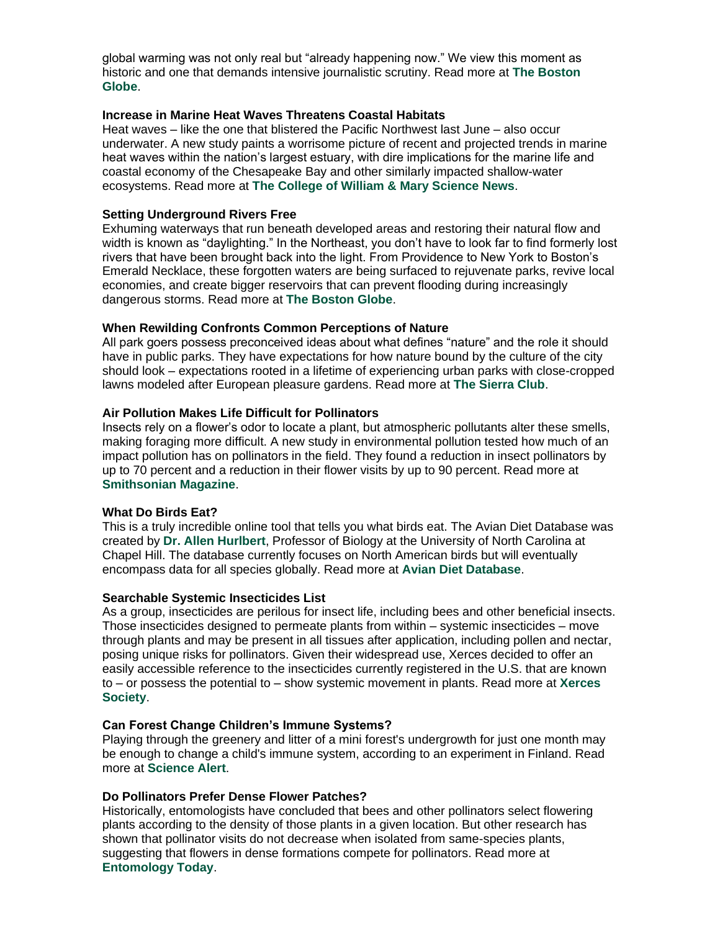global warming was not only real but "already happening now." We view this moment as historic and one that demands intensive journalistic scrutiny. Read more at **[The Boston](https://r20.rs6.net/tn.jsp?f=0018rZkbgqW5TUvayNluqdWO9e-QXgcaex6Ie3siAHlb9j74Oey3eByu-Do5Dk9I2JeSQ3XetXK12KZZY69rSDUzg9kZ7erCi2U6rGAo2ZyJ14QEbLCEkLHMupH9CuXLtilbrp6driPytzfY0gVCnFhZ8WWwaF47m_esM4hs3DDY55cUIxl2j-BrPmV0xCjqXCE2lEXcRD5radccrZsBRQEOHX1xlHChnc5AJXoYQtQ7F22XzBTUSAnwg==&c=S9sKsTGS6vDjggBL2TOe1jsqFMtZjnNALS53nMWTW9-54jbJNGQgXw==&ch=xX1nnLOwonKBGYjkKM1M2ozIAu3-f_VAygDp6BZPC0QGB8YoZezeig==)  [Globe](https://r20.rs6.net/tn.jsp?f=0018rZkbgqW5TUvayNluqdWO9e-QXgcaex6Ie3siAHlb9j74Oey3eByu-Do5Dk9I2JeSQ3XetXK12KZZY69rSDUzg9kZ7erCi2U6rGAo2ZyJ14QEbLCEkLHMupH9CuXLtilbrp6driPytzfY0gVCnFhZ8WWwaF47m_esM4hs3DDY55cUIxl2j-BrPmV0xCjqXCE2lEXcRD5radccrZsBRQEOHX1xlHChnc5AJXoYQtQ7F22XzBTUSAnwg==&c=S9sKsTGS6vDjggBL2TOe1jsqFMtZjnNALS53nMWTW9-54jbJNGQgXw==&ch=xX1nnLOwonKBGYjkKM1M2ozIAu3-f_VAygDp6BZPC0QGB8YoZezeig==)**.

#### **Increase in Marine Heat Waves Threatens Coastal Habitats**

Heat waves – like the one that blistered the Pacific Northwest last June – also occur underwater. A new study paints a worrisome picture of recent and projected trends in marine heat waves within the nation's largest estuary, with dire implications for the marine life and coastal economy of the Chesapeake Bay and other similarly impacted shallow-water ecosystems. Read more at **[The College of William & Mary Science News](https://r20.rs6.net/tn.jsp?f=0018rZkbgqW5TUvayNluqdWO9e-QXgcaex6Ie3siAHlb9j74Oey3eByu-Do5Dk9I2JelEzYVex6p6ICHtDXrIdqvPvJijljY3dQfgBrBf89C_QZ6vEAtVhpIprzDBMYoo6zD08VpO_MAjJhTb-4_U9NcU4OLp3F16PMRylwsYBn2Cg3ixHhOEAuONQhyhxPlZu84ezhpQWCyW8jvayCoWIfSMnJU4FjONVo54h7EYi3aO2XDLZjwgD9dhnI5c9VOZ_3c1pe2zN90OVU-DwzZpyQA9jyj0_y9ogCUY1bfC6EE2u95xp46uxdx0ikCzj6slqJ6B9C5kwpKgkcjVlQ2SEQXXZNKUMiR1ws&c=S9sKsTGS6vDjggBL2TOe1jsqFMtZjnNALS53nMWTW9-54jbJNGQgXw==&ch=xX1nnLOwonKBGYjkKM1M2ozIAu3-f_VAygDp6BZPC0QGB8YoZezeig==)**.

#### **Setting Underground Rivers Free**

Exhuming waterways that run beneath developed areas and restoring their natural flow and width is known as "daylighting." In the Northeast, you don't have to look far to find formerly lost rivers that have been brought back into the light. From Providence to New York to Boston's Emerald Necklace, these forgotten waters are being surfaced to rejuvenate parks, revive local economies, and create bigger reservoirs that can prevent flooding during increasingly dangerous storms. Read more at **[The Boston Globe](https://r20.rs6.net/tn.jsp?f=0018rZkbgqW5TUvayNluqdWO9e-QXgcaex6Ie3siAHlb9j74Oey3eByu-Do5Dk9I2JeHo3SJnGo9SxJRfuYLyBuU_x02PcX_zX0bvJFNWk5ZLf_GqO7dwckrRINw7t_arRxRepPphm5Sv4n4F5EsRYTlrazJBhdawL4l3-IU7QzAHpgm1Y24t7YRmMtpfXR15XMjUcCpb9sJeR2aWh6bMum_b26J3nNNDRb&c=S9sKsTGS6vDjggBL2TOe1jsqFMtZjnNALS53nMWTW9-54jbJNGQgXw==&ch=xX1nnLOwonKBGYjkKM1M2ozIAu3-f_VAygDp6BZPC0QGB8YoZezeig==)**.

#### **When Rewilding Confronts Common Perceptions of Nature**

All park goers possess preconceived ideas about what defines "nature" and the role it should have in public parks. They have expectations for how nature bound by the culture of the city should look – expectations rooted in a lifetime of experiencing urban parks with close-cropped lawns modeled after European pleasure gardens. Read more at **[The Sierra Club](https://r20.rs6.net/tn.jsp?f=0018rZkbgqW5TUvayNluqdWO9e-QXgcaex6Ie3siAHlb9j74Oey3eByu-Do5Dk9I2Je6n0s-qtCr4Lx4TgTYMEcKsvNQsteenqcrYPdETctVrXhd1WXxz_bRvEas4WtyzmwJKiSgOAVhjkOTebbYRqUMY5ze9tKizt53IL77I_Keu7z5vgAjLmMiNOUqG1cyRVenv4gw2cBXWTvQAbU5ii7SOsGgOKoeRTM&c=S9sKsTGS6vDjggBL2TOe1jsqFMtZjnNALS53nMWTW9-54jbJNGQgXw==&ch=xX1nnLOwonKBGYjkKM1M2ozIAu3-f_VAygDp6BZPC0QGB8YoZezeig==)**.

#### **Air Pollution Makes Life Difficult for Pollinators**

Insects rely on a flower's odor to locate a plant, but atmospheric pollutants alter these smells, making foraging more difficult. A new study in environmental pollution tested how much of an impact pollution has on pollinators in the field. They found a reduction in insect pollinators by up to 70 percent and a reduction in their flower visits by up to 90 percent. Read more at **[Smithsonian Magazine](https://r20.rs6.net/tn.jsp?f=0018rZkbgqW5TUvayNluqdWO9e-QXgcaex6Ie3siAHlb9j74Oey3eByu-Do5Dk9I2Jew9oxyPwt5Y2rRC1aFJj-741Xko-CFTIL1PhHnzfGp7gTX9KTNAtxp4AsL0YHFzIdk7qZgGYzgIZUPSF8CGiL15tA2uFW1BBOM_ET8bjpnLdH1VxMbSxUuI8sbk8AsbOz7XSndaeMfew6XYgpdqxNx_TcTjjJ1nURQ8EvNYW1a0dK0RJqw2GLXmSAMCQFEz-n2wF7xXI599UpC7du2jhBEytZQ7C1H4TrlJLE9JhuGGzl2AMj1DxZEbS6S1Z2SigQyUyuSa2zS_JlsV2muFyROB8gEmiSboQ0lKaHgzvOxgrFYEZfiM_xH0x4QtumOZKC4cneW_HoqMufZna9Yq_oyABx4jo8C146kVmrt1OM1dDQUt5wK84juqQOZoXp3cjLH3WHQi2o8F8rehcndWSY266GMHfzdeSZRFWFiI3hbrKJsAhcGqrdECzvukOzZMi4cYNL6N_Cm5LXlRHWl8LwVNzp96B4DYLjg-BSHHWruyOZ4oEov0wC_g==&c=S9sKsTGS6vDjggBL2TOe1jsqFMtZjnNALS53nMWTW9-54jbJNGQgXw==&ch=xX1nnLOwonKBGYjkKM1M2ozIAu3-f_VAygDp6BZPC0QGB8YoZezeig==)**.

#### **What Do Birds Eat?**

This is a truly incredible online tool that tells you what birds eat. The Avian Diet Database was created by **[Dr. Allen Hurlbert](https://r20.rs6.net/tn.jsp?f=0018rZkbgqW5TUvayNluqdWO9e-QXgcaex6Ie3siAHlb9j74Oey3eByu-Do5Dk9I2JegYrXjREvmqa1ipQlHVQmeEXGzsbhLxyUmMhXp55ba0n6bTSWbr5WqIKKQ6lLVlcocsag--u-sKueYVTaL3sIaK2TWkPTFUJR&c=S9sKsTGS6vDjggBL2TOe1jsqFMtZjnNALS53nMWTW9-54jbJNGQgXw==&ch=xX1nnLOwonKBGYjkKM1M2ozIAu3-f_VAygDp6BZPC0QGB8YoZezeig==)**, Professor of Biology at the University of North Carolina at Chapel Hill. The database currently focuses on North American birds but will eventually encompass data for all species globally. Read more at **[Avian Diet Database](https://r20.rs6.net/tn.jsp?f=0018rZkbgqW5TUvayNluqdWO9e-QXgcaex6Ie3siAHlb9j74Oey3eByu-Do5Dk9I2JeNmGzNUO9uUhOfFhryBSTEmK6wt1tH45mE_XnAlWio8P7x3IOxUWMYRcKCOyMcv2ZKIklw1xYOnM_pAADk4MKAA==&c=S9sKsTGS6vDjggBL2TOe1jsqFMtZjnNALS53nMWTW9-54jbJNGQgXw==&ch=xX1nnLOwonKBGYjkKM1M2ozIAu3-f_VAygDp6BZPC0QGB8YoZezeig==)**.

#### **Searchable Systemic Insecticides List**

As a group, insecticides are perilous for insect life, including bees and other beneficial insects. Those insecticides designed to permeate plants from within – systemic insecticides – move through plants and may be present in all tissues after application, including pollen and nectar, posing unique risks for pollinators. Given their widespread use, Xerces decided to offer an easily accessible reference to the insecticides currently registered in the U.S. that are known to – or possess the potential to – show systemic movement in plants. Read more at **[Xerces](https://r20.rs6.net/tn.jsp?f=0018rZkbgqW5TUvayNluqdWO9e-QXgcaex6Ie3siAHlb9j74Oey3eByu-Do5Dk9I2JeUGlXg5aPqjJmOktJTJid9jvdSFt05J9c3Rq3r27MjRfpxXi073C5SQHRj8qQzp0ZTgsAaHzUOKOs03stPPJ9JaE1TDhk3LwIDxtYfgGU-xpHyeMR1Wch_Q==&c=S9sKsTGS6vDjggBL2TOe1jsqFMtZjnNALS53nMWTW9-54jbJNGQgXw==&ch=xX1nnLOwonKBGYjkKM1M2ozIAu3-f_VAygDp6BZPC0QGB8YoZezeig==)  [Society](https://r20.rs6.net/tn.jsp?f=0018rZkbgqW5TUvayNluqdWO9e-QXgcaex6Ie3siAHlb9j74Oey3eByu-Do5Dk9I2JeUGlXg5aPqjJmOktJTJid9jvdSFt05J9c3Rq3r27MjRfpxXi073C5SQHRj8qQzp0ZTgsAaHzUOKOs03stPPJ9JaE1TDhk3LwIDxtYfgGU-xpHyeMR1Wch_Q==&c=S9sKsTGS6vDjggBL2TOe1jsqFMtZjnNALS53nMWTW9-54jbJNGQgXw==&ch=xX1nnLOwonKBGYjkKM1M2ozIAu3-f_VAygDp6BZPC0QGB8YoZezeig==)**.

#### **Can Forest Change Children's Immune Systems?**

Playing through the greenery and litter of a mini forest's undergrowth for just one month may be enough to change a child's immune system, according to an experiment in Finland. Read more at **[Science Alert](https://r20.rs6.net/tn.jsp?f=0018rZkbgqW5TUvayNluqdWO9e-QXgcaex6Ie3siAHlb9j74Oey3eByu-Do5Dk9I2Je_YrU1Tat0uq7M86eHaIFBE1_apAr9N4857o-KiTS193PbinXgm0JG7rOTZav0RE4cR4eedriZMT7M00Mjul27IuGW3Dbzf7lJMm9wPxDJD8tzjgafJaUV5UEfhCQ2OPyXU5VrTmVVnVftDitODSOGuDcPjZ9LHE0WHBw8WIgZtfa41iWJDayVlQdYjEhZ3hu&c=S9sKsTGS6vDjggBL2TOe1jsqFMtZjnNALS53nMWTW9-54jbJNGQgXw==&ch=xX1nnLOwonKBGYjkKM1M2ozIAu3-f_VAygDp6BZPC0QGB8YoZezeig==)**.

#### **Do Pollinators Prefer Dense Flower Patches?**

Historically, entomologists have concluded that bees and other pollinators select flowering plants according to the density of those plants in a given location. But other research has shown that pollinator visits do not decrease when isolated from same-species plants, suggesting that flowers in dense formations compete for pollinators. Read more at **[Entomology Today](https://r20.rs6.net/tn.jsp?f=0018rZkbgqW5TUvayNluqdWO9e-QXgcaex6Ie3siAHlb9j74Oey3eByu-Do5Dk9I2JeEEcxzZxbyg-vljQc1lQX_4GO4Us6xJXpOG_Pa7OTOpSCij3qj0VqhSYQIbk2q2rI842Ebs8-4X45_YqfkEfZ5Mfq5iUzGCv5FuUiRnfsUqPMeEvhbZSyM71JZMOZtQmKhk9doI8C7_697Qjf85q5Jy_ylQSwZYH_ZA5CTKmp3oC_O02PtodDDnYjoMJ_eHPm3VoJT3A0E0DpTF_5JXFGPvvOVZvrsngp-7MBr6t6sm32yd6vUbcqLOhrj2FwQ9aDSYb6LnE2P9f1d7DwPhTwJIPBasjqxaII&c=S9sKsTGS6vDjggBL2TOe1jsqFMtZjnNALS53nMWTW9-54jbJNGQgXw==&ch=xX1nnLOwonKBGYjkKM1M2ozIAu3-f_VAygDp6BZPC0QGB8YoZezeig==)**.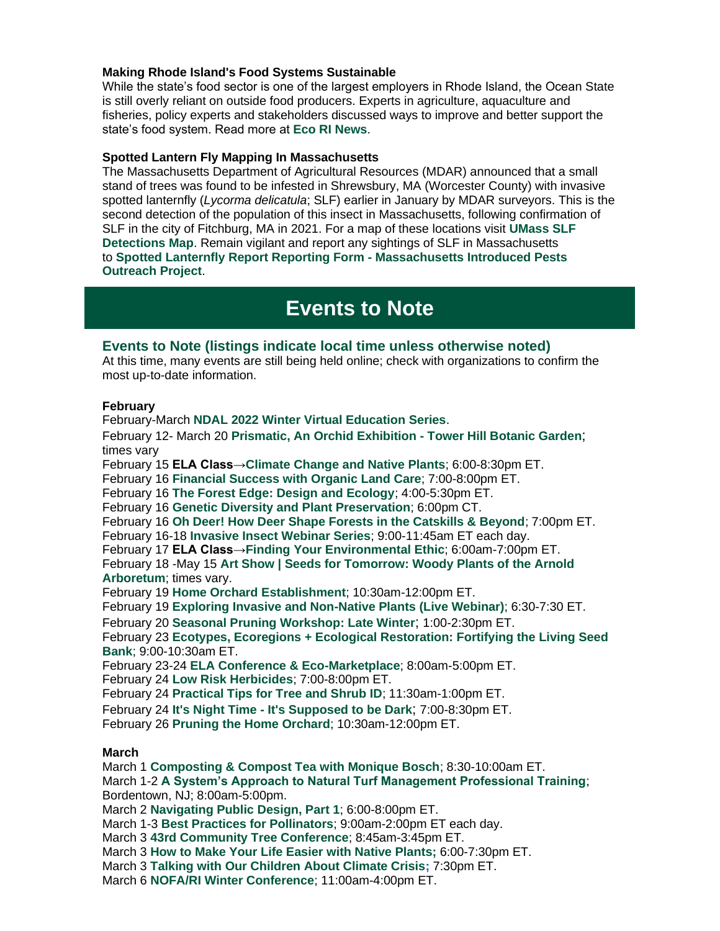#### **Making Rhode Island's Food Systems Sustainable**

While the state's food sector is one of the largest employers in Rhode Island, the Ocean State is still overly reliant on outside food producers. Experts in agriculture, aquaculture and fisheries, policy experts and stakeholders discussed ways to improve and better support the state's food system. Read more at **[Eco RI News](https://r20.rs6.net/tn.jsp?f=0018rZkbgqW5TUvayNluqdWO9e-QXgcaex6Ie3siAHlb9j74Oey3eByu-Do5Dk9I2JeaiijkO_G-GeKAKDQkS8abfKjWPy6tAhLU--RZCC8vl444DUAKgK7rjGHrTK7LLXRZaiO8xUfltvBCy37WgkoQXV4Kr43Ir3I5qE5e8sWLo9i9WC5BjZnU_kIjVAlCSH7cyMi-NJzZW91lrKkSp_2WfPr7JO7HLcOnNb3W9jLngroqbrzrxTmmQ==&c=S9sKsTGS6vDjggBL2TOe1jsqFMtZjnNALS53nMWTW9-54jbJNGQgXw==&ch=xX1nnLOwonKBGYjkKM1M2ozIAu3-f_VAygDp6BZPC0QGB8YoZezeig==)**.

#### **Spotted Lantern Fly Mapping In Massachusetts**

The Massachusetts Department of Agricultural Resources (MDAR) announced that a small stand of trees was found to be infested in Shrewsbury, MA (Worcester County) with invasive spotted lanternfly (*Lycorma delicatula*; SLF) earlier in January by MDAR surveyors. This is the second detection of the population of this insect in Massachusetts, following confirmation of SLF in the city of Fitchburg, MA in 2021. For a map of these locations visit **[UMass SLF](https://r20.rs6.net/tn.jsp?f=0018rZkbgqW5TUvayNluqdWO9e-QXgcaex6Ie3siAHlb9j74Oey3eByu-Do5Dk9I2JeMVcB3nwHep8zeGxmlp02bjZ6JTwe-2y5bUxn4QYNhlidSAp44A8Lm0rwX5IZJw0WJo5smm34VvUozKqvzimAwpaECQq3YuOXYbWlgv8nI92rTcEadRWthXaeQlp3wk7jIW3XPpU5SvN0KcO2dLRk3EAUjCyKo0SaowFXjEaO2l0fNqQ8coy06lcNblRiWe6-rnFQZvkGwAI=&c=S9sKsTGS6vDjggBL2TOe1jsqFMtZjnNALS53nMWTW9-54jbJNGQgXw==&ch=xX1nnLOwonKBGYjkKM1M2ozIAu3-f_VAygDp6BZPC0QGB8YoZezeig==)  [Detections Map](https://r20.rs6.net/tn.jsp?f=0018rZkbgqW5TUvayNluqdWO9e-QXgcaex6Ie3siAHlb9j74Oey3eByu-Do5Dk9I2JeMVcB3nwHep8zeGxmlp02bjZ6JTwe-2y5bUxn4QYNhlidSAp44A8Lm0rwX5IZJw0WJo5smm34VvUozKqvzimAwpaECQq3YuOXYbWlgv8nI92rTcEadRWthXaeQlp3wk7jIW3XPpU5SvN0KcO2dLRk3EAUjCyKo0SaowFXjEaO2l0fNqQ8coy06lcNblRiWe6-rnFQZvkGwAI=&c=S9sKsTGS6vDjggBL2TOe1jsqFMtZjnNALS53nMWTW9-54jbJNGQgXw==&ch=xX1nnLOwonKBGYjkKM1M2ozIAu3-f_VAygDp6BZPC0QGB8YoZezeig==)**. Remain vigilant and report any sightings of SLF in Massachusetts to **[Spotted Lanternfly Report Reporting Form -](https://r20.rs6.net/tn.jsp?f=0018rZkbgqW5TUvayNluqdWO9e-QXgcaex6Ie3siAHlb9j74Oey3eByu-Do5Dk9I2Je_Bn_ixemZEHL-DGx5zWE4FAH4z8pV3ihUSOcQfViHfC0bvqNBV3-pAzsMLb2RanU1aHo68cW6jI6yLCBYKhm0SLoeMPqRF7oyHmTJ9pTMGY=&c=S9sKsTGS6vDjggBL2TOe1jsqFMtZjnNALS53nMWTW9-54jbJNGQgXw==&ch=xX1nnLOwonKBGYjkKM1M2ozIAu3-f_VAygDp6BZPC0QGB8YoZezeig==) Massachusetts Introduced Pests [Outreach Project](https://r20.rs6.net/tn.jsp?f=0018rZkbgqW5TUvayNluqdWO9e-QXgcaex6Ie3siAHlb9j74Oey3eByu-Do5Dk9I2Je_Bn_ixemZEHL-DGx5zWE4FAH4z8pV3ihUSOcQfViHfC0bvqNBV3-pAzsMLb2RanU1aHo68cW6jI6yLCBYKhm0SLoeMPqRF7oyHmTJ9pTMGY=&c=S9sKsTGS6vDjggBL2TOe1jsqFMtZjnNALS53nMWTW9-54jbJNGQgXw==&ch=xX1nnLOwonKBGYjkKM1M2ozIAu3-f_VAygDp6BZPC0QGB8YoZezeig==)**.

## **Events to Note**

#### **Events to Note (listings indicate local time unless otherwise noted)**

At this time, many events are still being held online; check with organizations to confirm the most up-to-date information.

#### **February**

February-March **[NDAL 2022 Winter Virtual Education Series](https://r20.rs6.net/tn.jsp?f=0018rZkbgqW5TUvayNluqdWO9e-QXgcaex6Ie3siAHlb9j74Oey3eByu-Do5Dk9I2Je8BacsxSRHDyXBHjIA0yDyQv7Lk6SDcXL_ewIzW4_tIpyS9rYSwGP50L91DJMMyoP_WyyRxvzDF7BuSsZCVuurh-7pAl52i7J&c=S9sKsTGS6vDjggBL2TOe1jsqFMtZjnNALS53nMWTW9-54jbJNGQgXw==&ch=xX1nnLOwonKBGYjkKM1M2ozIAu3-f_VAygDp6BZPC0QGB8YoZezeig==)**. February 12- March 20 **[Prismatic, An Orchid Exhibition -](https://r20.rs6.net/tn.jsp?f=0018rZkbgqW5TUvayNluqdWO9e-QXgcaex6Ie3siAHlb9j74Oey3eByu-Do5Dk9I2JeK5fsg7_LqAYR3-ufaS_mnNgRktrZYeZOYyoXjzfwl4Wj9vTBzqToHZhzGjOLwHj22_ztiamMrS6mJZmi0D5cnT8nG_zHeQZmLInlIUjCHfyG74dJzdo34escZcGNc3WH&c=S9sKsTGS6vDjggBL2TOe1jsqFMtZjnNALS53nMWTW9-54jbJNGQgXw==&ch=xX1nnLOwonKBGYjkKM1M2ozIAu3-f_VAygDp6BZPC0QGB8YoZezeig==) Tower Hill Botanic Garden**; times vary February 15 **ELA Class[→Climate Change and Native Plants](https://r20.rs6.net/tn.jsp?f=0018rZkbgqW5TUvayNluqdWO9e-QXgcaex6Ie3siAHlb9j74Oey3eByu0O1nZGxDAl6SFRoiMq-HKI7KNxu7EsDogBGlN71LZLhhQZRrCDCNikTaBC_FTwNHaoaFo2sxV3IvTB0lqNP29zda3CwsSSLWIX3PFh4h6Atn0qYAWsWluwaDILYjWaOC-6_nTMiCo6Dp5QMay9y7I8LPiPgrQ2p8E069e5RPm7u&c=S9sKsTGS6vDjggBL2TOe1jsqFMtZjnNALS53nMWTW9-54jbJNGQgXw==&ch=xX1nnLOwonKBGYjkKM1M2ozIAu3-f_VAygDp6BZPC0QGB8YoZezeig==)**; 6:00-8:30pm ET. February 16 **[Financial Success with Organic Land Care](https://r20.rs6.net/tn.jsp?f=0018rZkbgqW5TUvayNluqdWO9e-QXgcaex6Ie3siAHlb9j74Oey3eByu5y2jKYDBEUEkMOWAGE9_ASmUFVUIl4oOA262JzSe-F8Ac-ThsfaLLl1HgjRt9aTUl8Ob3wku3cmQgPe4FszNwzxYXuKNv5Z39NYICPK-vHJWfAdVnW-TUQUHDIfwGW1mLrQiSyeDB6SQyW2TssmTqo=&c=S9sKsTGS6vDjggBL2TOe1jsqFMtZjnNALS53nMWTW9-54jbJNGQgXw==&ch=xX1nnLOwonKBGYjkKM1M2ozIAu3-f_VAygDp6BZPC0QGB8YoZezeig==)**; 7:00-8:00pm ET. February 16 **[The Forest Edge: Design and Ecology](https://r20.rs6.net/tn.jsp?f=0018rZkbgqW5TUvayNluqdWO9e-QXgcaex6Ie3siAHlb9j74Oey3eByu5y2jKYDBEUEO3tI53tAgzLrIPAJl3tgvj0znGh2bxKR5Brr9B0tfRryGANLOKABoe0QJ4JM3ZPWkEusJecInA0qvLua9c2V42A8xroKz_Y80HoRqsuhw_zQjk_d5ViIimpHc1srCa1_xny8tIY_Iai0pSHj4TqDZEgAtjvxm1DVqwzhdIy1Nx9meWEUEXJ-jN7tyXWX9XSi44bUc8gSt6rVv38yz0L62u2b5MaOp09FWDBkaE6nKPhTwVehNqNSIrgHQKhACYE2XTO9mJXatsGORs4cED79uTW5EQKx4w7Vmpu4sBx_ZJOha3jIGYNpiXdUBK6ctjyuRzzsajQAIfWE5ku2_mbEGQXjOIArWNp6&c=S9sKsTGS6vDjggBL2TOe1jsqFMtZjnNALS53nMWTW9-54jbJNGQgXw==&ch=xX1nnLOwonKBGYjkKM1M2ozIAu3-f_VAygDp6BZPC0QGB8YoZezeig==)**; 4:00-5:30pm ET. February 16 **[Genetic Diversity and Plant Preservation](https://r20.rs6.net/tn.jsp?f=0018rZkbgqW5TUvayNluqdWO9e-QXgcaex6Ie3siAHlb9j74Oey3eByu-Do5Dk9I2Je8Vu9hufm9tlKCpbK_elbwlrvV5unlDGYeYe8g9EbZIYdGBAAVWZF6NiN7dEvL2djjdqGnFUrAt2OpOkRpkLbq-mVyQNE7aTZ8xxMt78-P0VisbQrA_nuz1YfbRopiIeMCJr0NGh-8nQvGi8QMEtwpw==&c=S9sKsTGS6vDjggBL2TOe1jsqFMtZjnNALS53nMWTW9-54jbJNGQgXw==&ch=xX1nnLOwonKBGYjkKM1M2ozIAu3-f_VAygDp6BZPC0QGB8YoZezeig==)**; 6:00pm CT. February 16 **[Oh Deer! How Deer Shape Forests in the Catskills & Beyond](https://r20.rs6.net/tn.jsp?f=0018rZkbgqW5TUvayNluqdWO9e-QXgcaex6Ie3siAHlb9j74Oey3eByu-Do5Dk9I2JeuYvQn_gwRICA8o76DZalEhDBzxEj8mSqyhC7HIdFn1he068Prn-FvgdefVeXeVdoM3FsorD-LTgWZhwRX3DeFlW1cSemLJYItNEQDGRbKbRqD8d6FL_zIyDJQH08nMP2_cm9cEC7VQ3W9rZtViZc2DgbWYfyst0AHTGMjWXLAd75I5VEeoFb1Ycj9H4CQAX_f4gyJLkHXexg0I7SIdFzEA1_PWEtkrRBQJ5qw8keNSijRbycMfqKBE_SJI-9BslKem9STUF25b9YZdpuDSi5hg==&c=S9sKsTGS6vDjggBL2TOe1jsqFMtZjnNALS53nMWTW9-54jbJNGQgXw==&ch=xX1nnLOwonKBGYjkKM1M2ozIAu3-f_VAygDp6BZPC0QGB8YoZezeig==)**; 7:00pm ET. February 16-18 **[Invasive Insect Webinar Series](https://r20.rs6.net/tn.jsp?f=0018rZkbgqW5TUvayNluqdWO9e-QXgcaex6Ie3siAHlb9j74Oey3eByu-Do5Dk9I2JePisdbdBu63-jr4L_CSlikRako5FTfZu6UEISytbqdhOdGzIAkpiJso2_ggkhOLoAb5B8fDZOkBw7BQ8wf_7a4EuSBVmhIH1ZgDTz0oAKmGuDdZQq9xehsXw5eHLV8RdKZjxXg1LsUiGOkxkG-ZWgtHeD72FdYc2lb77FQiYOZ7M=&c=S9sKsTGS6vDjggBL2TOe1jsqFMtZjnNALS53nMWTW9-54jbJNGQgXw==&ch=xX1nnLOwonKBGYjkKM1M2ozIAu3-f_VAygDp6BZPC0QGB8YoZezeig==)**; 9:00-11:45am ET each day. February 17 **ELA Class[→Finding Your Environmental Ethic](https://r20.rs6.net/tn.jsp?f=0018rZkbgqW5TUvayNluqdWO9e-QXgcaex6Ie3siAHlb9j74Oey3eByu0O1nZGxDAl6SoH9eGlsIZuN2SVM_nZXrmBYCVYtOsJqpLbX0RL6lrH1kgdkCIdrh4_V0g21EjQl096ZPycGVohz4atdwQXfsK74I41q2c84lK9zv5QtzKoYPqJzGJKTVWFCf1vAEA0hlSTauGTHrAk0Fx7UKdDxDWCFl6wec9db&c=S9sKsTGS6vDjggBL2TOe1jsqFMtZjnNALS53nMWTW9-54jbJNGQgXw==&ch=xX1nnLOwonKBGYjkKM1M2ozIAu3-f_VAygDp6BZPC0QGB8YoZezeig==)**; 6:00am-7:00pm ET. February 18 -May 15 **[Art Show | Seeds for Tomorrow: Woody Plants of the Arnold](https://r20.rs6.net/tn.jsp?f=0018rZkbgqW5TUvayNluqdWO9e-QXgcaex6Ie3siAHlb9j74Oey3eByu-Do5Dk9I2JeeOHv5xNW9t9whVpAnC08SGXyXrIcSo4MtN7w-og3mkrPPB774DoMm7VeyHuuR4YEfbXEQL1kmePQap26fyL4EIKkcvfK87Y0lWETsGVtGQ0wJHfB3la0Jg==&c=S9sKsTGS6vDjggBL2TOe1jsqFMtZjnNALS53nMWTW9-54jbJNGQgXw==&ch=xX1nnLOwonKBGYjkKM1M2ozIAu3-f_VAygDp6BZPC0QGB8YoZezeig==)  [Arboretum](https://r20.rs6.net/tn.jsp?f=0018rZkbgqW5TUvayNluqdWO9e-QXgcaex6Ie3siAHlb9j74Oey3eByu-Do5Dk9I2JeeOHv5xNW9t9whVpAnC08SGXyXrIcSo4MtN7w-og3mkrPPB774DoMm7VeyHuuR4YEfbXEQL1kmePQap26fyL4EIKkcvfK87Y0lWETsGVtGQ0wJHfB3la0Jg==&c=S9sKsTGS6vDjggBL2TOe1jsqFMtZjnNALS53nMWTW9-54jbJNGQgXw==&ch=xX1nnLOwonKBGYjkKM1M2ozIAu3-f_VAygDp6BZPC0QGB8YoZezeig==)**; times vary. February 19 **[Home Orchard Establishment](https://r20.rs6.net/tn.jsp?f=0018rZkbgqW5TUvayNluqdWO9e-QXgcaex6Ie3siAHlb9j74Oey3eByu5y2jKYDBEUEuba4LuA5STZ5WY-nTRVQfXgAm_R53jLcVtdtyHh7Q0uK7HeWXc_4uJYU7oCC5TnlEcG0AXooycrdMtlGQnwHXUHw2K-kRsDLObSDocfEGxSe9q-miHBDC44zKvzNWHq3m9Bx42cZN7w=&c=S9sKsTGS6vDjggBL2TOe1jsqFMtZjnNALS53nMWTW9-54jbJNGQgXw==&ch=xX1nnLOwonKBGYjkKM1M2ozIAu3-f_VAygDp6BZPC0QGB8YoZezeig==)**; 10:30am-12:00pm ET. February 19 **[Exploring Invasive and Non-Native Plants \(Live Webinar\)](https://r20.rs6.net/tn.jsp?f=0018rZkbgqW5TUvayNluqdWO9e-QXgcaex6Ie3siAHlb9j74Oey3eByu-Do5Dk9I2Je3ELpCOlf7cmcwhctMzVyRcHbfOykkZY-0C0TQdQdVH0L_vzC5OetnMy852NzvMHIeGJadwawAVniTGb4LTpsuI2wqkJC3YZo90__AMggcy5jglA_ELIhkROJpznaiOvHfrTRgywfydg=&c=S9sKsTGS6vDjggBL2TOe1jsqFMtZjnNALS53nMWTW9-54jbJNGQgXw==&ch=xX1nnLOwonKBGYjkKM1M2ozIAu3-f_VAygDp6BZPC0QGB8YoZezeig==)**; 6:30-7:30 ET. February 20 **[Seasonal Pruning Workshop: Late Winter](https://r20.rs6.net/tn.jsp?f=0018rZkbgqW5TUvayNluqdWO9e-QXgcaex6Ie3siAHlb9j74Oey3eByu-Do5Dk9I2JeOtxDwlbLlOIchj5fIGposy8SPlX3K-Ismco0paowMo6C8nv0TksfkL7EVZVZOknjQMo7D_RYbq5oXljWXtrCRoPwE1FenFTDNFi0i8q7fTDWoOUhblLwKNVorHaQ3uXX2X75v_vjYXk=&c=S9sKsTGS6vDjggBL2TOe1jsqFMtZjnNALS53nMWTW9-54jbJNGQgXw==&ch=xX1nnLOwonKBGYjkKM1M2ozIAu3-f_VAygDp6BZPC0QGB8YoZezeig==)**; 1:00-2:30pm ET. February 23 **[Ecotypes, Ecoregions + Ecological Restoration: Fortifying the Living Seed](https://r20.rs6.net/tn.jsp?f=0018rZkbgqW5TUvayNluqdWO9e-QXgcaex6Ie3siAHlb9j74Oey3eByu-Do5Dk9I2Je4hLX3WcU-Lgo-xpfLh5Q9XahxnNP1YoLXJs_sP1eeCrpugEpTNu7mKPMZ3UuKGic-zW6zkVtqGxnJCGAVs_EzQCX94a4E0pVwabJi3iPzLgIMD6umtV3-J9LciXk2kyQeVx-k7QKpMTfapGA1K86M7fhRros8oNGH8Qcy4l7xfa9StAEnFSo5GtGXqk4H5ISGJXNGfvqdYYW3P5grRcXbA==&c=S9sKsTGS6vDjggBL2TOe1jsqFMtZjnNALS53nMWTW9-54jbJNGQgXw==&ch=xX1nnLOwonKBGYjkKM1M2ozIAu3-f_VAygDp6BZPC0QGB8YoZezeig==)  [Bank](https://r20.rs6.net/tn.jsp?f=0018rZkbgqW5TUvayNluqdWO9e-QXgcaex6Ie3siAHlb9j74Oey3eByu-Do5Dk9I2Je4hLX3WcU-Lgo-xpfLh5Q9XahxnNP1YoLXJs_sP1eeCrpugEpTNu7mKPMZ3UuKGic-zW6zkVtqGxnJCGAVs_EzQCX94a4E0pVwabJi3iPzLgIMD6umtV3-J9LciXk2kyQeVx-k7QKpMTfapGA1K86M7fhRros8oNGH8Qcy4l7xfa9StAEnFSo5GtGXqk4H5ISGJXNGfvqdYYW3P5grRcXbA==&c=S9sKsTGS6vDjggBL2TOe1jsqFMtZjnNALS53nMWTW9-54jbJNGQgXw==&ch=xX1nnLOwonKBGYjkKM1M2ozIAu3-f_VAygDp6BZPC0QGB8YoZezeig==)**; 9:00-10:30am ET. February 23-24 **[ELA Conference & Eco-Marketplace](https://r20.rs6.net/tn.jsp?f=0018rZkbgqW5TUvayNluqdWO9e-QXgcaex6Ie3siAHlb9j74Oey3eByu0O1nZGxDAl64TPa8EG5jGjVvTAl7WjRjYVlYixBIz4_-1zNNlbI8PwR3BbO89XbvQG6-AiJqALd_Z_V80LCr2AUcyPNdqb6E61HXo9cYwF97Wo2UrYr09ebudh1XkQycNhZDBFGPYTpFmHeGmyWxXEk34qRf-SMfg==&c=S9sKsTGS6vDjggBL2TOe1jsqFMtZjnNALS53nMWTW9-54jbJNGQgXw==&ch=xX1nnLOwonKBGYjkKM1M2ozIAu3-f_VAygDp6BZPC0QGB8YoZezeig==)**; 8:00am-5:00pm ET. February 24 **[Low Risk Herbicides](https://r20.rs6.net/tn.jsp?f=0018rZkbgqW5TUvayNluqdWO9e-QXgcaex6Ie3siAHlb9j74Oey3eByu5y2jKYDBEUEkMOWAGE9_ASmUFVUIl4oOA262JzSe-F8Ac-ThsfaLLl1HgjRt9aTUl8Ob3wku3cmQgPe4FszNwzxYXuKNv5Z39NYICPK-vHJWfAdVnW-TUQUHDIfwGW1mLrQiSyeDB6SQyW2TssmTqo=&c=S9sKsTGS6vDjggBL2TOe1jsqFMtZjnNALS53nMWTW9-54jbJNGQgXw==&ch=xX1nnLOwonKBGYjkKM1M2ozIAu3-f_VAygDp6BZPC0QGB8YoZezeig==)**; 7:00-8:00pm ET. February 24 **[Practical Tips for Tree and Shrub ID](https://r20.rs6.net/tn.jsp?f=0018rZkbgqW5TUvayNluqdWO9e-QXgcaex6Ie3siAHlb9j74Oey3eByu-Do5Dk9I2JeZjNluY2Te3kRY-PCC9LrspVl-d6rlDvXCdeY-l-BMRoGcr0TA9KzbYmCFvLoo4xpH52A49ohuxz234bIGxxn41zUCVn0OMDNFGLkTyZ1d83PgpfQLCGSgjJ8brxPRo7MMnZzfKADkNK7U7YNZdo9QQ==&c=S9sKsTGS6vDjggBL2TOe1jsqFMtZjnNALS53nMWTW9-54jbJNGQgXw==&ch=xX1nnLOwonKBGYjkKM1M2ozIAu3-f_VAygDp6BZPC0QGB8YoZezeig==)**; 11:30am-1:00pm ET. February 24 **It's Night Time - [It's Supposed to be Dark](https://r20.rs6.net/tn.jsp?f=0018rZkbgqW5TUvayNluqdWO9e-QXgcaex6Ie3siAHlb9j74Oey3eByu-Do5Dk9I2JeVdbvDg3d97oyPGgAytZCK2FLK0ksxAK6po7UeRSVeMndNQDLbm1bFa3WMDut7Clsub-Tyggu3P9PG76WRADdgCdJcdZkaNNtU43iHpA3zVKLK1CKa0Rk_cITbY_asleVXeuqj4GmsBM=&c=S9sKsTGS6vDjggBL2TOe1jsqFMtZjnNALS53nMWTW9-54jbJNGQgXw==&ch=xX1nnLOwonKBGYjkKM1M2ozIAu3-f_VAygDp6BZPC0QGB8YoZezeig==)**; 7:00-8:30pm ET. February 26 **[Pruning the Home Orchard](https://r20.rs6.net/tn.jsp?f=0018rZkbgqW5TUvayNluqdWO9e-QXgcaex6Ie3siAHlb9j74Oey3eByu5y2jKYDBEUEuba4LuA5STZ5WY-nTRVQfXgAm_R53jLcVtdtyHh7Q0uK7HeWXc_4uJYU7oCC5TnlEcG0AXooycrdMtlGQnwHXUHw2K-kRsDLObSDocfEGxSe9q-miHBDC44zKvzNWHq3m9Bx42cZN7w=&c=S9sKsTGS6vDjggBL2TOe1jsqFMtZjnNALS53nMWTW9-54jbJNGQgXw==&ch=xX1nnLOwonKBGYjkKM1M2ozIAu3-f_VAygDp6BZPC0QGB8YoZezeig==)**; 10:30am-12:00pm ET. **March** March 1 **[Composting & Compost Tea with Monique Bosch](https://r20.rs6.net/tn.jsp?f=0018rZkbgqW5TUvayNluqdWO9e-QXgcaex6Ie3siAHlb9j74Oey3eByu-Do5Dk9I2JeTDS2OB3J3Jm6G5x6G_f4NJ4UG4MEwUxyw-14DAqELfmxRw1i7z_aY9cWOSca8SientjDCqTOvpcE3dvqyRg2cLCJXih2Yc-dO7Ke-2loENEgLQ0oCphuZG6GakvmPXuGl26nrLIwh4XAoslMS86SYGciXglSyZgJxReOZhInzeM=&c=S9sKsTGS6vDjggBL2TOe1jsqFMtZjnNALS53nMWTW9-54jbJNGQgXw==&ch=xX1nnLOwonKBGYjkKM1M2ozIAu3-f_VAygDp6BZPC0QGB8YoZezeig==)**; 8:30-10:00am ET. March 1-2 **[A System's Approach to Natural Turf Management Professional Training](https://r20.rs6.net/tn.jsp?f=0018rZkbgqW5TUvayNluqdWO9e-QXgcaex6Ie3siAHlb9j74Oey3eByu-Do5Dk9I2JeApx2P-2-BWcSUscugCEQm31ha9MWJI9MeyI7uBRD12--RI1bMMHbAtw8A6M6Eq6ZaTd7hYenpASf3aSBsNSB86zE3o4lAS8SIWm8khRnNRRa3q_DEcr9oL1QKyyK83jC_9pXQgdAjzs=&c=S9sKsTGS6vDjggBL2TOe1jsqFMtZjnNALS53nMWTW9-54jbJNGQgXw==&ch=xX1nnLOwonKBGYjkKM1M2ozIAu3-f_VAygDp6BZPC0QGB8YoZezeig==)**;

Bordentown, NJ; 8:00am-5:00pm.

March 2 **[Navigating Public Design, Part 1](https://r20.rs6.net/tn.jsp?f=0018rZkbgqW5TUvayNluqdWO9e-QXgcaex6Ie3siAHlb9j74Oey3eByuw3nZrcY60mcXSlRIdt4AkeIj4_nSKLmUbgHARdZNjqhkamKMDVKc9klLtlwbiedtCDgj5Pxqdlg0JN2WDOETKAFg9IE1DMa-bU3fwTEv7dUoLKwSG-00GlyfyNN6Bg1oCLIVEPG466YdpJo06ecrOXAS0YRahUtMLn7dK8F5_xp&c=S9sKsTGS6vDjggBL2TOe1jsqFMtZjnNALS53nMWTW9-54jbJNGQgXw==&ch=xX1nnLOwonKBGYjkKM1M2ozIAu3-f_VAygDp6BZPC0QGB8YoZezeig==)**; 6:00-8:00pm ET.

March 1-3 **[Best Practices for Pollinators](https://r20.rs6.net/tn.jsp?f=0018rZkbgqW5TUvayNluqdWO9e-QXgcaex6Ie3siAHlb9j74Oey3eByu-Do5Dk9I2JeemcOn0-sxRjcm0lZ_db2ZorC3V224Lzeim5XhX0n5ZtfF0s_sMuYxsr7zoc8Aelh260xhPa_3-opWOvFaqq-AmA8CyCARXkYMdNjGomYbY7gYxbE1yTmfHSSZ8Jkq0lmLd0WO6CK3_xa8cP0kdAqUrvBLOzz4R9M8_796vOeoFVtLY9OGD2cZQ==&c=S9sKsTGS6vDjggBL2TOe1jsqFMtZjnNALS53nMWTW9-54jbJNGQgXw==&ch=xX1nnLOwonKBGYjkKM1M2ozIAu3-f_VAygDp6BZPC0QGB8YoZezeig==)**; 9:00am-2:00pm ET each day.

March 3 **[43rd Community Tree Conference](https://r20.rs6.net/tn.jsp?f=0018rZkbgqW5TUvayNluqdWO9e-QXgcaex6Ie3siAHlb9j74Oey3eByu-Do5Dk9I2JeEdScmdwJp_3U2Mn3eKWcl1UTshrvyerXuQSMKWWN8sE4_l0qM391ud2t2pTMRyQ1BrfAdXYhOfZ9lL8MAM_mtzVbsjoSMfoUZ3u-ufX56-t-MuajXKx5Uj6k3XlrJAWh8C4s9r8suurLCiGSCOmXsA6ktNawoEUJ&c=S9sKsTGS6vDjggBL2TOe1jsqFMtZjnNALS53nMWTW9-54jbJNGQgXw==&ch=xX1nnLOwonKBGYjkKM1M2ozIAu3-f_VAygDp6BZPC0QGB8YoZezeig==)**; 8:45am-3:45pm ET.

March 3 **[How to Make Your Life Easier with Native Plants;](https://r20.rs6.net/tn.jsp?f=0018rZkbgqW5TUvayNluqdWO9e-QXgcaex6Ie3siAHlb9j74Oey3eByu-Do5Dk9I2JeVsNEtZvJqj9qmcxeg1mQgomZjnyMsslS202eFm_yj7bixoGj6zXEDlaSwaOZNCkL67d0pHCXT3p0NuHs8BHV2ADs3vnZURDqavYBbfwLny15wyX9w67FNK9x1xJHUWCck_JeNzlw8XkQUz9DnaSGrfi02SmfYHZ9B4IogcLyJOWVzKjYtQeMrw==&c=S9sKsTGS6vDjggBL2TOe1jsqFMtZjnNALS53nMWTW9-54jbJNGQgXw==&ch=xX1nnLOwonKBGYjkKM1M2ozIAu3-f_VAygDp6BZPC0QGB8YoZezeig==)** 6:00-7:30pm ET.

March 3 **[Talking with Our Children About Climate Crisis;](https://r20.rs6.net/tn.jsp?f=0018rZkbgqW5TUvayNluqdWO9e-QXgcaex6Ie3siAHlb9j74Oey3eByu-Do5Dk9I2Je65iP0SSleQ_qxSoqVGVMOntIaJtDx8Go_roq7tP5X6uzfB9o1CwE_UxT_vIT1rCD4MpFlzcR0ulRFQeiIjhGqPo27oCwA_B_J28TqdLxL1eoIGHPXaqHIg3JENHKziF6ccZn0HwLO-eGCRoIDoG0mB6DO2KDbzDS9yQOCtka9rQ=&c=S9sKsTGS6vDjggBL2TOe1jsqFMtZjnNALS53nMWTW9-54jbJNGQgXw==&ch=xX1nnLOwonKBGYjkKM1M2ozIAu3-f_VAygDp6BZPC0QGB8YoZezeig==)** 7:30pm ET.

March 6 **[NOFA/RI Winter Conference](https://r20.rs6.net/tn.jsp?f=0018rZkbgqW5TUvayNluqdWO9e-QXgcaex6Ie3siAHlb9j74Oey3eByu-Do5Dk9I2JeGm3TYitByF1dOOdRpVJwIwVVUkdBHODPe3KLj6YSeubaPyajeWPTOvtbWVggHUdmZPgeode9UpTM8IUOEDgeYOD8bCrD7-HFXTQxJgLDxxwh-RQMqfj0LpMaDKd_UhEcrzd4axwWTFbDq57Bn3LHuGtDeCG8TJaE3vhNw8iNXM3UWBirifOPK47oYFtfq6hDnmxHZ-IpRfTdx-T9XdZDlEsTjyLpKpRCNBBUHnHQNMt7bV1EuzDyFlhKxfds4-fhMvMrGtbUgRwgLyMiGyOGnfIT-TkqkDIveb6vrMhf9gwM1pDbi5v3XPTcRVDkRiSGsCzSWJf3hIZ-rP9BZ-wBwQkgqsoqwyW6pNS6XSledIZZ0UJAyxbHBm71CPU2lelkW89nTHv9lv1DLAd7YndKUIcxXZdE61mqVvn-LGNcU6gaVtK-sGHWmZpaE_CAuzSfmmiG8h1T6n6cjbiYDs9xKx4hpvYEvxQrvHLZLZLVFGFzSIsIHJjjB7LitvaQlbJc0Er3mxE_IW08FVYvWoD6NRmT4shZl_UFOdOkfWQ3sT8a8OIGrIrCKVOjfWlY_NuPthKf3KLyVBR1xsUX9M3wqg==&c=S9sKsTGS6vDjggBL2TOe1jsqFMtZjnNALS53nMWTW9-54jbJNGQgXw==&ch=xX1nnLOwonKBGYjkKM1M2ozIAu3-f_VAygDp6BZPC0QGB8YoZezeig==)**; 11:00am-4:00pm ET.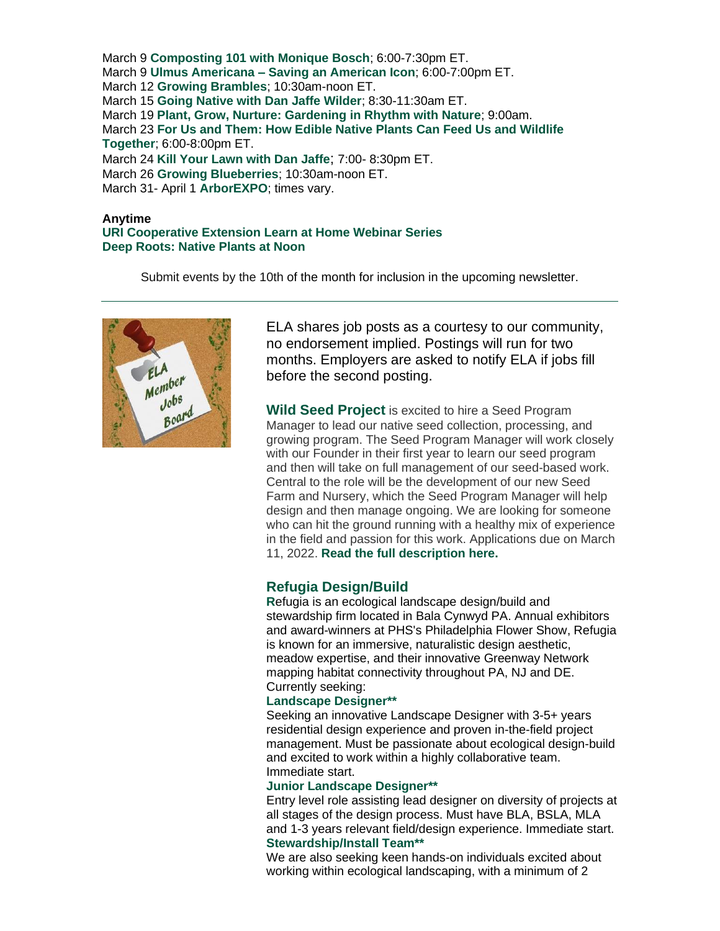March 9 **[Composting 101 with Monique Bosch](https://r20.rs6.net/tn.jsp?f=0018rZkbgqW5TUvayNluqdWO9e-QXgcaex6Ie3siAHlb9j74Oey3eByu-Do5Dk9I2JeV9COiP4wk-1SHonah33Qktg0-oFn9fhUb5S06IYEIDuhwgCl2qP0l6na5HM1TfbnMurDdKQypO7zVydLb2xAWZsgwQrEqgt8VsQCZG4Dcj364k2XSrLYrwoiuemxo_53iN6c0JP4-xJQN0YcN5avyJjisWKaBRud&c=S9sKsTGS6vDjggBL2TOe1jsqFMtZjnNALS53nMWTW9-54jbJNGQgXw==&ch=xX1nnLOwonKBGYjkKM1M2ozIAu3-f_VAygDp6BZPC0QGB8YoZezeig==)**; 6:00-7:30pm ET. March 9 **Ulmus Americana – [Saving an American Icon](https://r20.rs6.net/tn.jsp?f=0018rZkbgqW5TUvayNluqdWO9e-QXgcaex6Ie3siAHlb9j74Oey3eByuyoh40g7oL9CUJyFCHw9E69pZRXcqdMolV02R-syaBYESlCiyVaWMftIPt7DK33Hymu7PhzvZxlZy7-CT1xdpr1P_Zhe35aRezb2Qzjq0VdWDPA9U9Yi-Ef32cE5UdMBu1ZnSz6Upl9DUFEvovPSYlba3a1wtMXfcozNVLw1eySCmmtsL9yP62M=&c=S9sKsTGS6vDjggBL2TOe1jsqFMtZjnNALS53nMWTW9-54jbJNGQgXw==&ch=xX1nnLOwonKBGYjkKM1M2ozIAu3-f_VAygDp6BZPC0QGB8YoZezeig==)**; 6:00-7:00pm ET. March 12 **[Growing Brambles](https://r20.rs6.net/tn.jsp?f=0018rZkbgqW5TUvayNluqdWO9e-QXgcaex6Ie3siAHlb9j74Oey3eByu5y2jKYDBEUEuba4LuA5STZ5WY-nTRVQfXgAm_R53jLcVtdtyHh7Q0uK7HeWXc_4uJYU7oCC5TnlEcG0AXooycrdMtlGQnwHXUHw2K-kRsDLObSDocfEGxSe9q-miHBDC44zKvzNWHq3m9Bx42cZN7w=&c=S9sKsTGS6vDjggBL2TOe1jsqFMtZjnNALS53nMWTW9-54jbJNGQgXw==&ch=xX1nnLOwonKBGYjkKM1M2ozIAu3-f_VAygDp6BZPC0QGB8YoZezeig==)**; 10:30am-noon ET. March 15 **[Going Native with Dan Jaffe Wilder](https://r20.rs6.net/tn.jsp?f=0018rZkbgqW5TUvayNluqdWO9e-QXgcaex6Ie3siAHlb9j74Oey3eByu-Do5Dk9I2JetrrrKkqVQ-RATpGWG04M9tpg1fpZvz44va_bgz6kBHp3r1HBGZhbNedzBFcN6Ul9t_BmBFRbPF50jBGi_UXwwtadDqan19U6r-Llvgc5ovEaMzCZCCszuISaitIX2mZQT4NseyGFsdx_4eWZ9MQ7UQEo_Riq1AWg&c=S9sKsTGS6vDjggBL2TOe1jsqFMtZjnNALS53nMWTW9-54jbJNGQgXw==&ch=xX1nnLOwonKBGYjkKM1M2ozIAu3-f_VAygDp6BZPC0QGB8YoZezeig==)**; 8:30-11:30am ET. March 19 **[Plant, Grow, Nurture: Gardening in Rhythm with Nature](https://r20.rs6.net/tn.jsp?f=0018rZkbgqW5TUvayNluqdWO9e-QXgcaex6Ie3siAHlb9j74Oey3eByu7NmCyQ60gnBBWZoAhF4wWMvIgMSGY7ReLvqhm6RcdG1-oL1HgIzbc9dCVK1C3nk4sXoCXxY5ehs6QK1qsACQHnWrIFVosn_pR2TxbSQNmWz9D29LOUgukHlqO2cpSHkdhb25_shHf6WHU4yLeKE3GQ=&c=S9sKsTGS6vDjggBL2TOe1jsqFMtZjnNALS53nMWTW9-54jbJNGQgXw==&ch=xX1nnLOwonKBGYjkKM1M2ozIAu3-f_VAygDp6BZPC0QGB8YoZezeig==)**; 9:00am. March 23 **[For Us and Them: How Edible Native Plants Can Feed Us and Wildlife](https://r20.rs6.net/tn.jsp?f=0018rZkbgqW5TUvayNluqdWO9e-QXgcaex6Ie3siAHlb9j74Oey3eByu-Do5Dk9I2JeLVBBah6HXAXhrUlsnh1V7xSchC6zWqAQfFu4rCKupJ3QRVEgs1boCfSglIvHcrMGwN1L7XOEM5PaB9xdghIVfeoDFY01D0aFJUvdOR4IHlj8oFkCu-GMUlRpctySWNcXXJyUNMEkQY4FhTU8peVgzEg2XoYp76pvJz-XHjtbHrWsjgnoQOv-bJJl_3cinRORUL0wgRXStx8Ykt0w1wHMoA==&c=S9sKsTGS6vDjggBL2TOe1jsqFMtZjnNALS53nMWTW9-54jbJNGQgXw==&ch=xX1nnLOwonKBGYjkKM1M2ozIAu3-f_VAygDp6BZPC0QGB8YoZezeig==)  [Together](https://r20.rs6.net/tn.jsp?f=0018rZkbgqW5TUvayNluqdWO9e-QXgcaex6Ie3siAHlb9j74Oey3eByu-Do5Dk9I2JeLVBBah6HXAXhrUlsnh1V7xSchC6zWqAQfFu4rCKupJ3QRVEgs1boCfSglIvHcrMGwN1L7XOEM5PaB9xdghIVfeoDFY01D0aFJUvdOR4IHlj8oFkCu-GMUlRpctySWNcXXJyUNMEkQY4FhTU8peVgzEg2XoYp76pvJz-XHjtbHrWsjgnoQOv-bJJl_3cinRORUL0wgRXStx8Ykt0w1wHMoA==&c=S9sKsTGS6vDjggBL2TOe1jsqFMtZjnNALS53nMWTW9-54jbJNGQgXw==&ch=xX1nnLOwonKBGYjkKM1M2ozIAu3-f_VAygDp6BZPC0QGB8YoZezeig==)**; 6:00-8:00pm ET. March 24 **[Kill Your Lawn with Dan Jaffe](https://r20.rs6.net/tn.jsp?f=0018rZkbgqW5TUvayNluqdWO9e-QXgcaex6Ie3siAHlb9j74Oey3eByu-Do5Dk9I2JejmLqc9z6XMSeyr8eVP6DOiqq2LfeVOeqBCDxO2KFK9dnVRNjIrWQaaDQ3tNKVkPM3cVV4XdUMQfjqrOe9umzysz25IViJVBnCYau_OE82lTqrVxI8vsGBDmzn42VtYWMXtsExCk4cXxZK7IUUTQHnuHYCht8Lf9WWiw6B7Gyvzk=&c=S9sKsTGS6vDjggBL2TOe1jsqFMtZjnNALS53nMWTW9-54jbJNGQgXw==&ch=xX1nnLOwonKBGYjkKM1M2ozIAu3-f_VAygDp6BZPC0QGB8YoZezeig==)**; 7:00- 8:30pm ET. March 26 **[Growing Blueberries](https://r20.rs6.net/tn.jsp?f=0018rZkbgqW5TUvayNluqdWO9e-QXgcaex6Ie3siAHlb9j74Oey3eByu5y2jKYDBEUEuba4LuA5STZ5WY-nTRVQfXgAm_R53jLcVtdtyHh7Q0uK7HeWXc_4uJYU7oCC5TnlEcG0AXooycrdMtlGQnwHXUHw2K-kRsDLObSDocfEGxSe9q-miHBDC44zKvzNWHq3m9Bx42cZN7w=&c=S9sKsTGS6vDjggBL2TOe1jsqFMtZjnNALS53nMWTW9-54jbJNGQgXw==&ch=xX1nnLOwonKBGYjkKM1M2ozIAu3-f_VAygDp6BZPC0QGB8YoZezeig==)**; 10:30am-noon ET. March 31- April 1 **[ArborEXPO](https://r20.rs6.net/tn.jsp?f=0018rZkbgqW5TUvayNluqdWO9e-QXgcaex6Ie3siAHlb9j74Oey3eByu-Do5Dk9I2Je8ksnIcg8SeIsHUNE90n8oQ0qXj_QKCY08r5-6-Fx4UtaoyMntmfbaHU6pb86fYj1E0S0DuIZjn0=&c=S9sKsTGS6vDjggBL2TOe1jsqFMtZjnNALS53nMWTW9-54jbJNGQgXw==&ch=xX1nnLOwonKBGYjkKM1M2ozIAu3-f_VAygDp6BZPC0QGB8YoZezeig==)**; times vary.

#### **Anytime**

**[URI Cooperative Extension Learn at Home Webinar Series](https://r20.rs6.net/tn.jsp?f=001AFho08mAnEeBmz843iFWK8NKptjui6lRFEStwzlCyIpUGk5-t9o9e7r1DyUwwx1Zr9ncQo5XvcR251wOMS6rhvmkv80tJ_DW2CLG3eZid2f06skFVz0FEQYsW6y1_cJA4Z13vcSjJj0DTe9oidO8dFb-bsexlUvPweU9jEPfoVQ8_rAXBI0XaIfC51ZFSAYU5up4I7Gnk3AG6x6AWiBIyI4ezJ_2LuvvRSCHfRNyURTp0g-DgZ7Rbw==&c=FELuz_3rfOF6ckbIZGoXYyALx-ce3Pd95vX4qveq6z1wABV3wVGjDQ==&ch=uc69vArgMunqwA4qRtremhqjJJzC5bKqRJOhou9QRAZEkHUgBjD5RQ==) [Deep Roots: Native Plants at Noon](https://r20.rs6.net/tn.jsp?f=0018rZkbgqW5TUvayNluqdWO9e-QXgcaex6Ie3siAHlb9j74Oey3eByu2iWEIqemGVarj_zBlTjym6db4TMujNXpPsNDyHAQCXpRJQwC_IL97NLBNMrdWiPytkJ0Z2_npZjwfuYFgYvw0PjGGYs3TPKEDnjxLHpNyIc&c=S9sKsTGS6vDjggBL2TOe1jsqFMtZjnNALS53nMWTW9-54jbJNGQgXw==&ch=xX1nnLOwonKBGYjkKM1M2ozIAu3-f_VAygDp6BZPC0QGB8YoZezeig==)** 

Submit events by the 10th of the month for inclusion in the upcoming newsletter.



ELA shares job posts as a courtesy to our community, no endorsement implied. Postings will run for two months. Employers are asked to notify ELA if jobs fill before the second posting.

**Wild Seed Project** is excited to hire a Seed Program Manager to lead our native seed collection, processing, and growing program. The Seed Program Manager will work closely with our Founder in their first year to learn our seed program and then will take on full management of our seed-based work. Central to the role will be the development of our new Seed Farm and Nursery, which the Seed Program Manager will help design and then manage ongoing. We are looking for someone who can hit the ground running with a healthy mix of experience in the field and passion for this work. Applications due on March 11, 2022. **[Read the full description here.](https://r20.rs6.net/tn.jsp?f=0018rZkbgqW5TUvayNluqdWO9e-QXgcaex6Ie3siAHlb9j74Oey3eByu-Do5Dk9I2JeXkIeD03IiROqMfxdwcRUImYe4BBtSf_wyPZbSi7aGtjJjvIxk6FXnRfmlKObgxayV9BvQ6YqI5MdXOZkJ6xdNtNfEWvv33VsLsN6fkyMwWKfxK1elbdidjK2iSjHbNVjkLjAhpWkb3HYni7-EBySa5lOHDf7YJyrYSKhibPJ76a5a3rFtor1qa0VzcvK_rrn&c=S9sKsTGS6vDjggBL2TOe1jsqFMtZjnNALS53nMWTW9-54jbJNGQgXw==&ch=xX1nnLOwonKBGYjkKM1M2ozIAu3-f_VAygDp6BZPC0QGB8YoZezeig==)**

#### **Refugia Design/Build**

**R**efugia is an ecological landscape design/build and stewardship firm located in Bala Cynwyd PA. Annual exhibitors and award-winners at PHS's Philadelphia Flower Show, Refugia is known for an immersive, naturalistic design aesthetic, meadow expertise, and their innovative Greenway Network mapping habitat connectivity throughout PA, NJ and DE. Currently seeking:

#### **Landscape Designer\*\***

Seeking an innovative Landscape Designer with 3-5+ years residential design experience and proven in-the-field project management. Must be passionate about ecological design-build and excited to work within a highly collaborative team. Immediate start.

#### **Junior Landscape Designer\*\***

Entry level role assisting lead designer on diversity of projects at all stages of the design process. Must have BLA, BSLA, MLA and 1-3 years relevant field/design experience. Immediate start. **Stewardship/Install Team\*\***

We are also seeking keen hands-on individuals excited about working within ecological landscaping, with a minimum of 2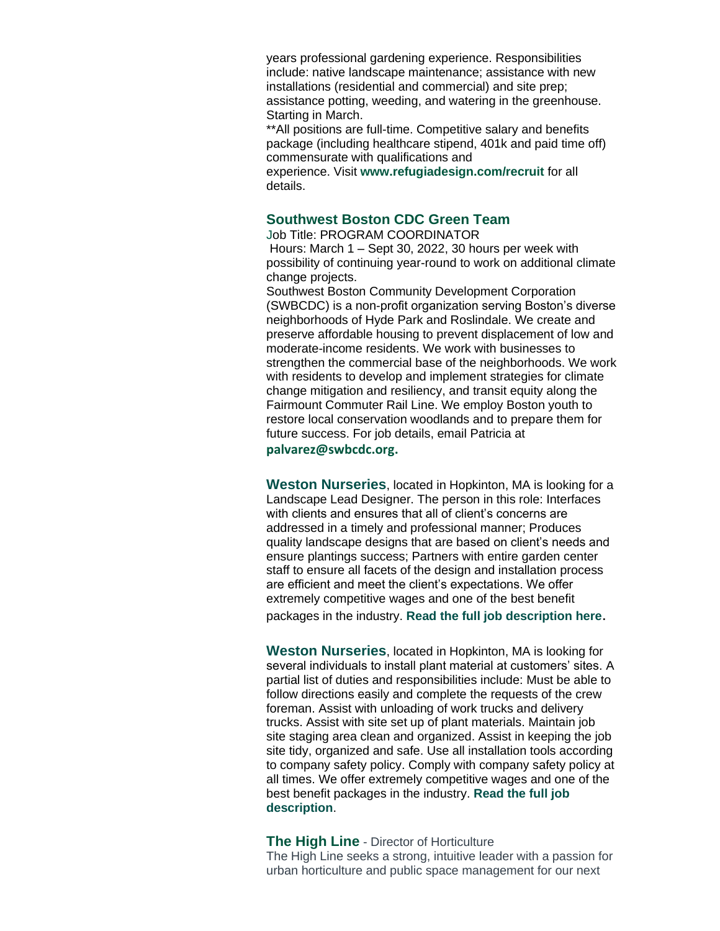years professional gardening experience. Responsibilities include: native landscape maintenance; assistance with new installations (residential and commercial) and site prep; assistance potting, weeding, and watering in the greenhouse. Starting in March.

\*\*All positions are full-time. Competitive salary and benefits package (including healthcare stipend, 401k and paid time off) commensurate with qualifications and

experience. Visit **[www.refugiadesign.com/recruit](https://r20.rs6.net/tn.jsp?f=0018rZkbgqW5TUvayNluqdWO9e-QXgcaex6Ie3siAHlb9j74Oey3eByu7NmCyQ60gnBdu9cS9_d3PAS4mspiJABT7nKl0bYDmtOMfAoG4xSHcci_YyCDaG-7SRKS6JpUikOtknoQPuzgyA6LXClnUcn-t7BgvODhhSZ&c=S9sKsTGS6vDjggBL2TOe1jsqFMtZjnNALS53nMWTW9-54jbJNGQgXw==&ch=xX1nnLOwonKBGYjkKM1M2ozIAu3-f_VAygDp6BZPC0QGB8YoZezeig==)** for all details.

#### **Southwest Boston CDC Green Team**

Job Title: PROGRAM COORDINATOR Hours: March 1 – Sept 30, 2022, 30 hours per week with possibility of continuing year-round to work on additional climate change projects.

Southwest Boston Community Development Corporation (SWBCDC) is a non-profit organization serving Boston's diverse neighborhoods of Hyde Park and Roslindale. We create and preserve affordable housing to prevent displacement of low and moderate-income residents. We work with businesses to strengthen the commercial base of the neighborhoods. We work with residents to develop and implement strategies for climate change mitigation and resiliency, and transit equity along the Fairmount Commuter Rail Line. We employ Boston youth to restore local conservation woodlands and to prepare them for future success. For job details, email Patricia at **[palvarez@swbcdc.org.](mailto:palvarez@swbcdc.org)** 

**Weston Nurseries**, located in Hopkinton, MA is looking for a Landscape Lead Designer. The person in this role: Interfaces with clients and ensures that all of client's concerns are addressed in a timely and professional manner; Produces quality landscape designs that are based on client's needs and ensure plantings success; Partners with entire garden center staff to ensure all facets of the design and installation process are efficient and meet the client's expectations. We offer extremely competitive wages and one of the best benefit packages in the industry. **[Read the full job description here](https://r20.rs6.net/tn.jsp?f=0018rZkbgqW5TUvayNluqdWO9e-QXgcaex6Ie3siAHlb9j74Oey3eByu5y2jKYDBEUE7Hx8ARmUsBairsJiMeAJ52gel0boPQUqzMUaFcFl3XJxR66G6byQHCGoujKWB_B9C7x3N44qDvTvPT7jfMm4y7jybTsllXlnRKsakOOLdJ8gEp61_3C51Eq_Hb7P_oPmP3lwf4abdwU=&c=S9sKsTGS6vDjggBL2TOe1jsqFMtZjnNALS53nMWTW9-54jbJNGQgXw==&ch=xX1nnLOwonKBGYjkKM1M2ozIAu3-f_VAygDp6BZPC0QGB8YoZezeig==)**.

**Weston Nurseries**, located in Hopkinton, MA is looking for several individuals to install plant material at customers' sites. A partial list of duties and responsibilities include: Must be able to follow directions easily and complete the requests of the crew foreman. Assist with unloading of work trucks and delivery trucks. Assist with site set up of plant materials. Maintain job site staging area clean and organized. Assist in keeping the job site tidy, organized and safe. Use all installation tools according to company safety policy. Comply with company safety policy at all times. We offer extremely competitive wages and one of the best benefit packages in the industry. **[Read the full job](https://r20.rs6.net/tn.jsp?f=0018rZkbgqW5TUvayNluqdWO9e-QXgcaex6Ie3siAHlb9j74Oey3eByuyl1GTDCW45r2b6ispiScUvZUhdNQGAp0aY-AtfNrp8dsVUqU8fAk6oP8X3ZMz9SuUEp-plufj1CrToXeo5J5vC2V1ymtLyZ8k4fUu985QR5DZZfVUFs28i5N-W8v1XtEzxa_R6hICpd-Py-97tEXkbkjdaE0AeawTUqxvwuoS5KZO1vlZ6AD1N0XxqMNkAd7lxAD6OPx3ihvehnG4ibBu5yzyXaJFGP-t4nN5mj3EmKIjUAfwdb-mIG_P_TLImWG9A51Ym_Wku7SxeHP9yhS2HFxDzJsSXp6Q_nW3jGWl4AkfGM_owxJtiaNe5w-OkRk6dlyvgTA0orrlwDmnPCRRJIO9nNx85djeq5ymN88dwMVhPMjp5n6iIb2iAqPs8Jn0e8Vb2QyySXI1YxnBTdNj0=&c=S9sKsTGS6vDjggBL2TOe1jsqFMtZjnNALS53nMWTW9-54jbJNGQgXw==&ch=xX1nnLOwonKBGYjkKM1M2ozIAu3-f_VAygDp6BZPC0QGB8YoZezeig==)  [description](https://r20.rs6.net/tn.jsp?f=0018rZkbgqW5TUvayNluqdWO9e-QXgcaex6Ie3siAHlb9j74Oey3eByuyl1GTDCW45r2b6ispiScUvZUhdNQGAp0aY-AtfNrp8dsVUqU8fAk6oP8X3ZMz9SuUEp-plufj1CrToXeo5J5vC2V1ymtLyZ8k4fUu985QR5DZZfVUFs28i5N-W8v1XtEzxa_R6hICpd-Py-97tEXkbkjdaE0AeawTUqxvwuoS5KZO1vlZ6AD1N0XxqMNkAd7lxAD6OPx3ihvehnG4ibBu5yzyXaJFGP-t4nN5mj3EmKIjUAfwdb-mIG_P_TLImWG9A51Ym_Wku7SxeHP9yhS2HFxDzJsSXp6Q_nW3jGWl4AkfGM_owxJtiaNe5w-OkRk6dlyvgTA0orrlwDmnPCRRJIO9nNx85djeq5ymN88dwMVhPMjp5n6iIb2iAqPs8Jn0e8Vb2QyySXI1YxnBTdNj0=&c=S9sKsTGS6vDjggBL2TOe1jsqFMtZjnNALS53nMWTW9-54jbJNGQgXw==&ch=xX1nnLOwonKBGYjkKM1M2ozIAu3-f_VAygDp6BZPC0QGB8YoZezeig==)**.

**The High Line** - Director of Horticulture The High Line seeks a strong, intuitive leader with a passion for urban horticulture and public space management for our next